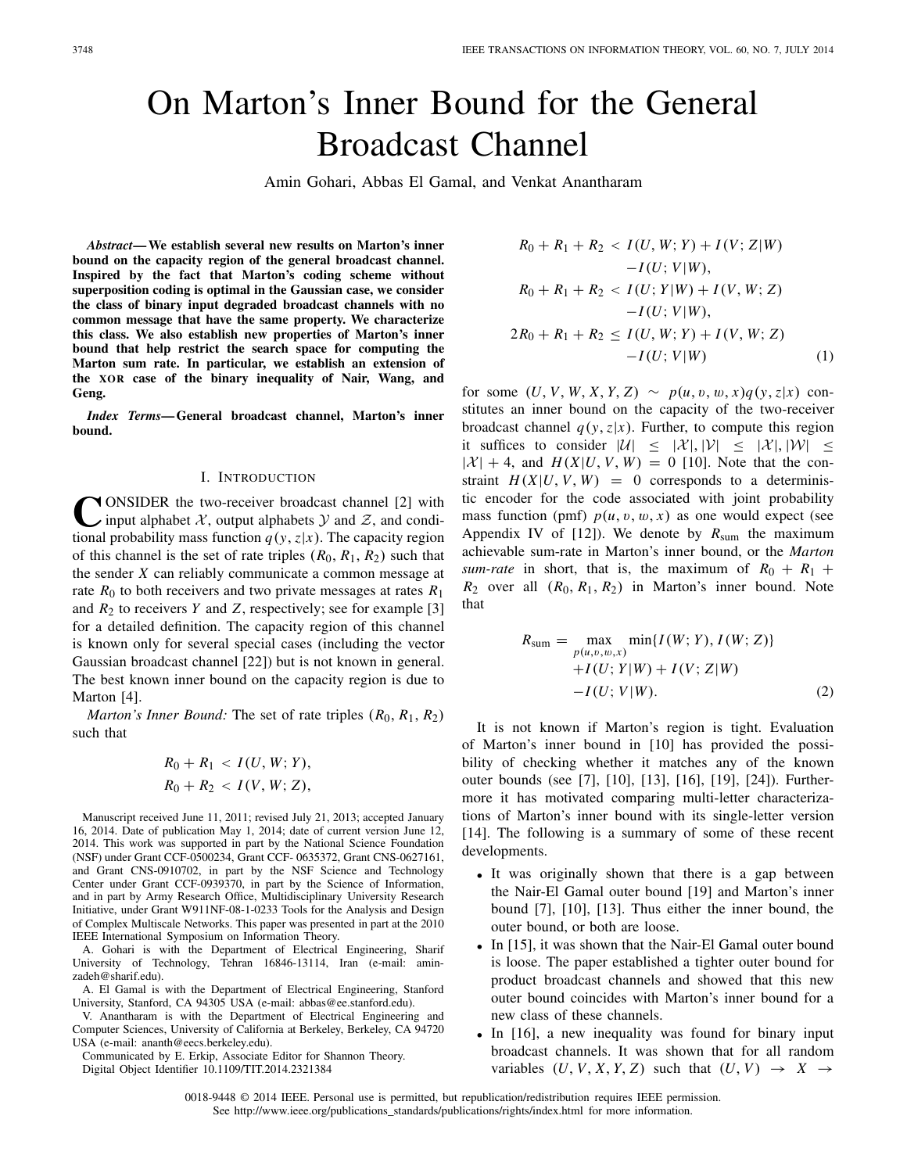# On Marton's Inner Bound for the General Broadcast Channel

Amin Gohari, Abbas El Gamal, and Venkat Anantharam

*Abstract***— We establish several new results on Marton's inner bound on the capacity region of the general broadcast channel. Inspired by the fact that Marton's coding scheme without superposition coding is optimal in the Gaussian case, we consider the class of binary input degraded broadcast channels with no common message that have the same property. We characterize this class. We also establish new properties of Marton's inner bound that help restrict the search space for computing the Marton sum rate. In particular, we establish an extension of the XOR case of the binary inequality of Nair, Wang, and Geng.**

*Index Terms***— General broadcast channel, Marton's inner bound.**

#### I. INTRODUCTION

**C**ONSIDER the two-receiver broadcast channel [2] with input alphabet *X*, output alphabets *y* and *Z*, and conditional probability mass function  $q(y, z|x)$ . The capacity region of this channel is the set of rate triples  $(R_0, R_1, R_2)$  such that the sender *X* can reliably communicate a common message at rate  $R_0$  to both receivers and two private messages at rates  $R_1$ and  $R_2$  to receivers  $Y$  and  $Z$ , respectively; see for example [3] for a detailed definition. The capacity region of this channel is known only for several special cases (including the vector Gaussian broadcast channel [22]) but is not known in general. The best known inner bound on the capacity region is due to Marton [4].

*Marton's Inner Bound:* The set of rate triples  $(R_0, R_1, R_2)$ such that

$$
R_0 + R_1 < I(U, W; Y), \\
 R_0 + R_2 < I(V, W; Z),
$$

Manuscript received June 11, 2011; revised July 21, 2013; accepted January 16, 2014. Date of publication May 1, 2014; date of current version June 12, 2014. This work was supported in part by the National Science Foundation (NSF) under Grant CCF-0500234, Grant CCF- 0635372, Grant CNS-0627161, and Grant CNS-0910702, in part by the NSF Science and Technology Center under Grant CCF-0939370, in part by the Science of Information, and in part by Army Research Office, Multidisciplinary University Research Initiative, under Grant W911NF-08-1-0233 Tools for the Analysis and Design of Complex Multiscale Networks. This paper was presented in part at the 2010 IEEE International Symposium on Information Theory.

A. Gohari is with the Department of Electrical Engineering, Sharif University of Technology, Tehran 16846-13114, Iran (e-mail: aminzadeh@sharif.edu).

A. El Gamal is with the Department of Electrical Engineering, Stanford University, Stanford, CA 94305 USA (e-mail: abbas@ee.stanford.edu).

V. Anantharam is with the Department of Electrical Engineering and Computer Sciences, University of California at Berkeley, Berkeley, CA 94720 USA (e-mail: ananth@eecs.berkeley.edu).

Communicated by E. Erkip, Associate Editor for Shannon Theory. Digital Object Identifier 10.1109/TIT.2014.2321384

$$
R_0 + R_1 + R_2 < I(U, W; Y) + I(V; Z|W) \\
 \quad -I(U; V|W), \\
 R_0 + R_1 + R_2 < I(U; Y|W) + I(V, W; Z) \\
 \quad -I(U; V|W), \\
 2R_0 + R_1 + R_2 < I(U, W; Y) + I(V, W; Z) \\
 \quad -I(U; V|W) \tag{1}
$$

for some  $(U, V, W, X, Y, Z) \sim p(u, v, w, x)q(y, z|x)$  constitutes an inner bound on the capacity of the two-receiver broadcast channel  $q(y, z|x)$ . Further, to compute this region it suffices to consider  $|\mathcal{U}| \leq |\mathcal{X}|, |\mathcal{V}| \leq |\mathcal{X}|, |\mathcal{W}| \leq$  $|\mathcal{X}| + 4$ , and  $H(X|U, V, W) = 0$  [10]. Note that the constraint  $H(X|U, V, W) = 0$  corresponds to a deterministic encoder for the code associated with joint probability mass function (pmf)  $p(u, v, w, x)$  as one would expect (see Appendix IV of  $[12]$ ). We denote by  $R_{\text{sum}}$  the maximum achievable sum-rate in Marton's inner bound, or the *Marton sum-rate* in short, that is, the maximum of  $R_0 + R_1 +$  $R_2$  over all  $(R_0, R_1, R_2)$  in Marton's inner bound. Note that

$$
R_{\text{sum}} = \max_{p(u,v,w,x)} \min\{I(W;Y), I(W;Z)\} + I(U;Y|W) + I(V;Z|W) - I(U;V|W). \tag{2}
$$

It is not known if Marton's region is tight. Evaluation of Marton's inner bound in [10] has provided the possibility of checking whether it matches any of the known outer bounds (see [7], [10], [13], [16], [19], [24]). Furthermore it has motivated comparing multi-letter characterizations of Marton's inner bound with its single-letter version [14]. The following is a summary of some of these recent developments.

- It was originally shown that there is a gap between the Nair-El Gamal outer bound [19] and Marton's inner bound [7], [10], [13]. Thus either the inner bound, the outer bound, or both are loose.
- In [15], it was shown that the Nair-El Gamal outer bound is loose. The paper established a tighter outer bound for product broadcast channels and showed that this new outer bound coincides with Marton's inner bound for a new class of these channels.
- In [16], a new inequality was found for binary input broadcast channels. It was shown that for all random variables  $(U, V, X, Y, Z)$  such that  $(U, V) \rightarrow X \rightarrow$

<sup>0018-9448 © 2014</sup> IEEE. Personal use is permitted, but republication/redistribution requires IEEE permission. See http://www.ieee.org/publications\_standards/publications/rights/index.html for more information.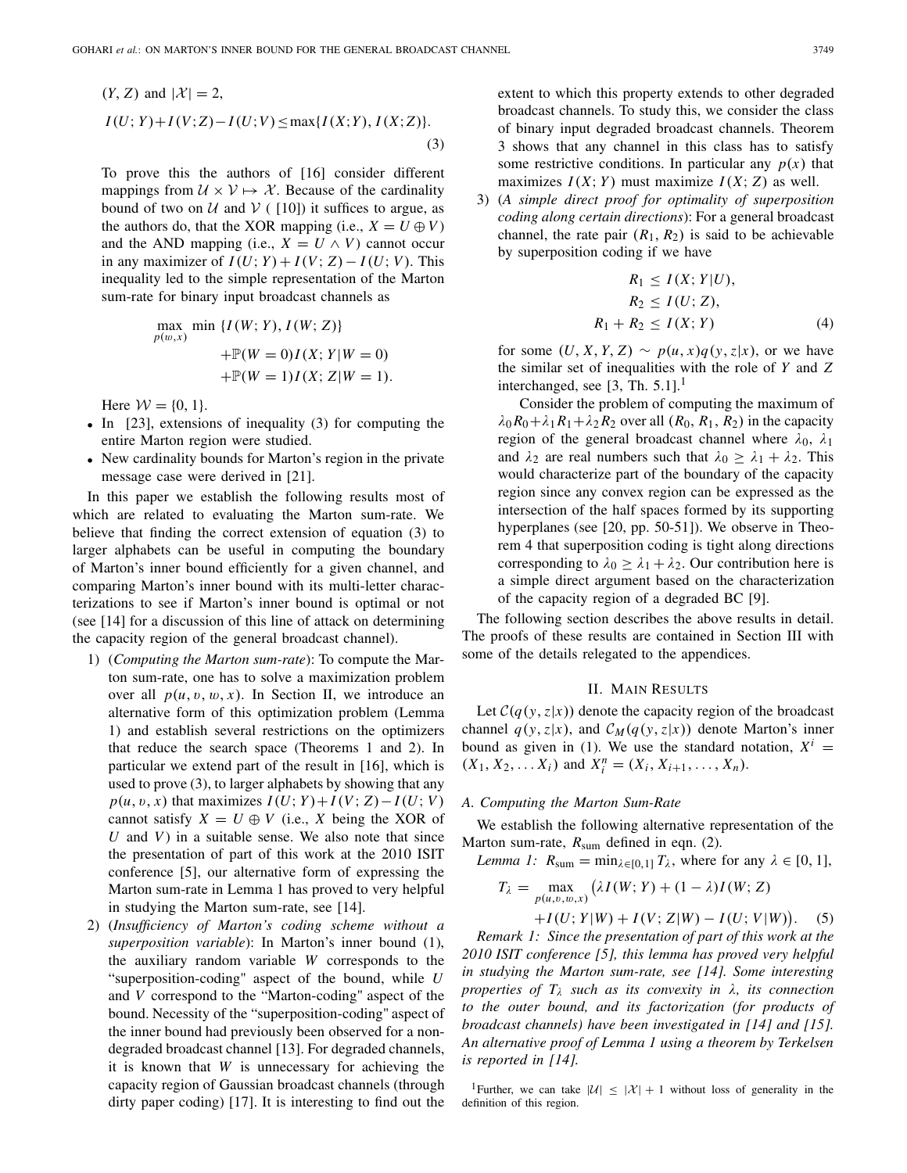$$
(Y, Z) \text{ and } |\mathcal{X}| = 2,
$$
  

$$
I(U; Y) + I(V; Z) - I(U; V) \le \max\{I(X; Y), I(X; Z)\}.
$$
  
(3)

To prove this the authors of [16] consider different mappings from  $\mathcal{U} \times \mathcal{V} \mapsto \mathcal{X}$ . Because of the cardinality bound of two on  $U$  and  $V$  ( [10]) it suffices to argue, as the authors do, that the XOR mapping (i.e.,  $X = U \oplus V$ ) and the AND mapping (i.e.,  $X = U \wedge V$ ) cannot occur in any maximizer of  $I(U; Y) + I(V; Z) - I(U; V)$ . This inequality led to the simple representation of the Marton sum-rate for binary input broadcast channels as

max<sub>p(w,x)</sub> min {*I*(*W*; *Y*), *I*(*W*; *Z*)}  
+
$$
\mathbb{P}(W = 0)I(X; Y|W = 0)
$$
  
+ $\mathbb{P}(W = 1)I(X; Z|W = 1).$ 

Here  $W = \{0, 1\}.$ 

- In [23], extensions of inequality (3) for computing the entire Marton region were studied.
- New cardinality bounds for Marton's region in the private message case were derived in [21].

In this paper we establish the following results most of which are related to evaluating the Marton sum-rate. We believe that finding the correct extension of equation (3) to larger alphabets can be useful in computing the boundary of Marton's inner bound efficiently for a given channel, and comparing Marton's inner bound with its multi-letter characterizations to see if Marton's inner bound is optimal or not (see [14] for a discussion of this line of attack on determining the capacity region of the general broadcast channel).

- 1) (*Computing the Marton sum-rate*): To compute the Marton sum-rate, one has to solve a maximization problem over all  $p(u, v, w, x)$ . In Section II, we introduce an alternative form of this optimization problem (Lemma 1) and establish several restrictions on the optimizers that reduce the search space (Theorems 1 and 2). In particular we extend part of the result in [16], which is used to prove (3), to larger alphabets by showing that any  $p(u, v, x)$  that maximizes  $I(U; Y) + I(V; Z) - I(U; V)$ cannot satisfy  $X = U \oplus V$  (i.e., X being the XOR of *U* and *V* ) in a suitable sense. We also note that since the presentation of part of this work at the 2010 ISIT conference [5], our alternative form of expressing the Marton sum-rate in Lemma 1 has proved to very helpful in studying the Marton sum-rate, see [14].
- 2) (*Insufficiency of Marton's coding scheme without a superposition variable*): In Marton's inner bound (1), the auxiliary random variable *W* corresponds to the "superposition-coding" aspect of the bound, while *U* and *V* correspond to the "Marton-coding" aspect of the bound. Necessity of the "superposition-coding" aspect of the inner bound had previously been observed for a nondegraded broadcast channel [13]. For degraded channels, it is known that *W* is unnecessary for achieving the capacity region of Gaussian broadcast channels (through dirty paper coding) [17]. It is interesting to find out the

extent to which this property extends to other degraded broadcast channels. To study this, we consider the class of binary input degraded broadcast channels. Theorem 3 shows that any channel in this class has to satisfy some restrictive conditions. In particular any  $p(x)$  that maximizes  $I(X; Y)$  must maximize  $I(X; Z)$  as well.

3) (*A simple direct proof for optimality of superposition coding along certain directions*): For a general broadcast channel, the rate pair  $(R_1, R_2)$  is said to be achievable by superposition coding if we have

$$
R_1 \le I(X; Y|U),
$$
  
\n
$$
R_2 \le I(U; Z),
$$
  
\n
$$
R_1 + R_2 \le I(X; Y)
$$
\n(4)

for some  $(U, X, Y, Z) \sim p(u, x)q(y, z|x)$ , or we have the similar set of inequalities with the role of *Y* and *Z* interchanged, see  $[3, Th. 5.1]$ .

Consider the problem of computing the maximum of  $\lambda_0 R_0 + \lambda_1 R_1 + \lambda_2 R_2$  over all  $(R_0, R_1, R_2)$  in the capacity region of the general broadcast channel where  $\lambda_0$ ,  $\lambda_1$ and  $\lambda_2$  are real numbers such that  $\lambda_0 \geq \lambda_1 + \lambda_2$ . This would characterize part of the boundary of the capacity region since any convex region can be expressed as the intersection of the half spaces formed by its supporting hyperplanes (see [20, pp. 50-51]). We observe in Theorem 4 that superposition coding is tight along directions corresponding to  $\lambda_0 \geq \lambda_1 + \lambda_2$ . Our contribution here is a simple direct argument based on the characterization of the capacity region of a degraded BC [9].

The following section describes the above results in detail. The proofs of these results are contained in Section III with some of the details relegated to the appendices.

# II. MAIN RESULTS

Let  $C(q(y, z|x))$  denote the capacity region of the broadcast channel  $q(y, z|x)$ , and  $\mathcal{C}_M(q(y, z|x))$  denote Marton's inner bound as given in (1). We use the standard notation,  $X^i$  =  $(X_1, X_2, \ldots, X_i)$  and  $X_i^n = (X_i, X_{i+1}, \ldots, X_n)$ .

# *A. Computing the Marton Sum-Rate*

We establish the following alternative representation of the Marton sum-rate,  $R_{\text{sum}}$  defined in eqn. (2).

*Lemma 1:*  $R_{\text{sum}} = \min_{\lambda \in [0,1]} T_{\lambda}$ , where for any  $\lambda \in [0, 1]$ ,

$$
T_{\lambda} = \max_{p(u,v,w,x)} (\lambda I(W;Y) + (1 - \lambda)I(W; Z) + I(U; Y|W) + I(V; Z|W) - I(U; V|W)).
$$
 (5)

*Remark 1: Since the presentation of part of this work at the 2010 ISIT conference [5], this lemma has proved very helpful in studying the Marton sum-rate, see [14]. Some interesting properties of T*<sup>λ</sup> *such as its convexity in* λ*, its connection to the outer bound, and its factorization (for products of broadcast channels) have been investigated in [14] and [15]. An alternative proof of Lemma 1 using a theorem by Terkelsen is reported in [14].*

<sup>1</sup>Further, we can take  $|\mathcal{U}| \leq |\mathcal{X}| + 1$  without loss of generality in the definition of this region.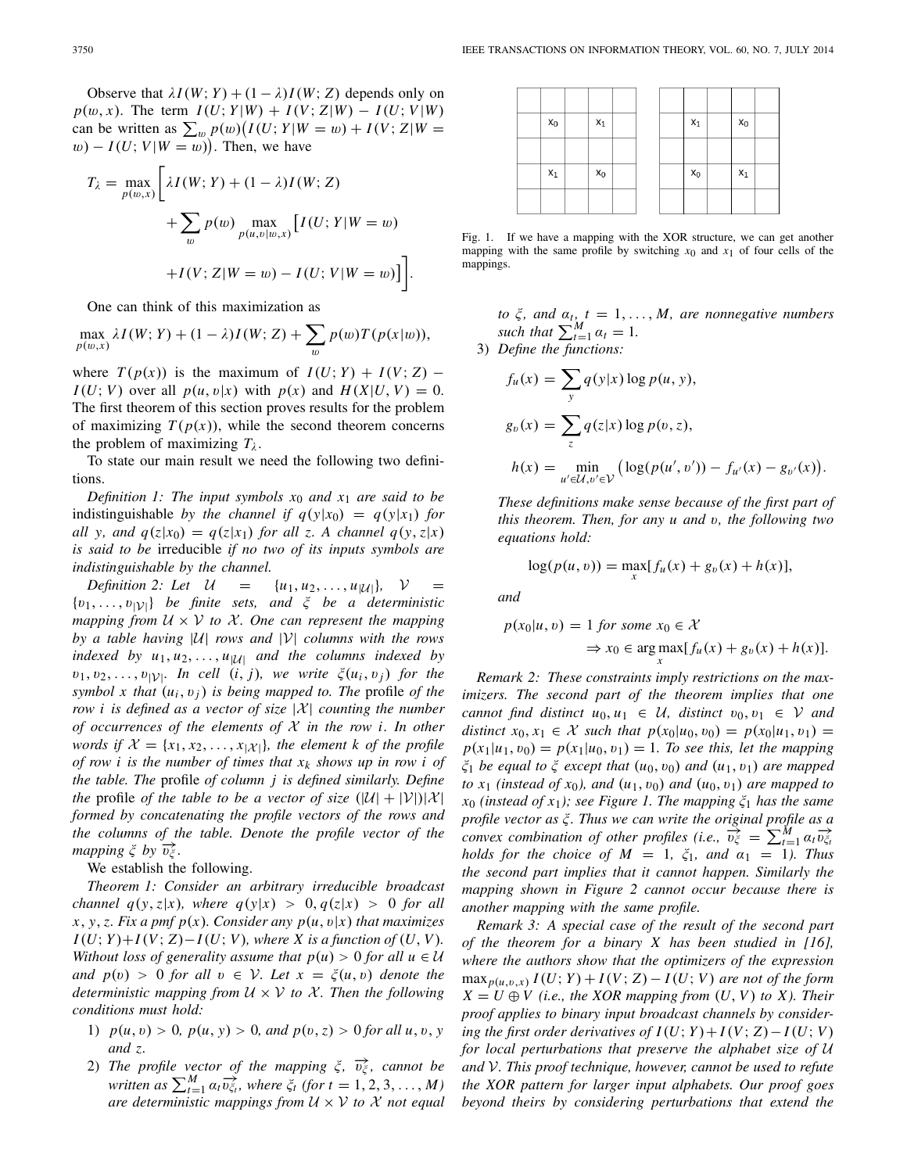Observe that  $\lambda I(W; Y) + (1 - \lambda)I(W; Z)$  depends only on  $p(w, x)$ . The term  $I(U; Y | W) + I(V; Z | W) - I(U; V | W)$ can be written as  $\sum_{w} p(w) (I(U; Y | W = w) + I(V; Z | W =$  $w$ ) –  $I(U; V | W = w)$ ). Then, we have

$$
T_{\lambda} = \max_{p(w,x)} \left[ \lambda I(W;Y) + (1-\lambda)I(W;Z) + \sum_{w} p(w) \max_{p(u,v|w,x)} \left[ I(U;Y|W=w) + I(V;Z|W=w) - I(U;V|W=w) \right] \right].
$$

One can think of this maximization as

 $\max_{p(w,x)} \lambda I(W;Y) + (1 - \lambda)I(W; Z) + \sum_{w}$ w  $p(w)T(p(x|w)),$ 

where  $T(p(x))$  is the maximum of  $I(U; Y) + I(V; Z)$  – *I*(*U*; *V*) over all  $p(u, v|x)$  with  $p(x)$  and  $H(X|U, V) = 0$ . The first theorem of this section proves results for the problem of maximizing  $T(p(x))$ , while the second theorem concerns the problem of maximizing  $T_{\lambda}$ .

To state our main result we need the following two definitions.

*Definition 1: The input symbols x*<sup>0</sup> *and x*<sup>1</sup> *are said to be* indistinguishable *by the channel if*  $q(y|x_0) = q(y|x_1)$  *for all* y, and  $q(z|x_0) = q(z|x_1)$  for all z. A channel  $q(y, z|x)$ *is said to be* irreducible *if no two of its inputs symbols are indistinguishable by the channel.*

*Definition 2: Let*  $U = \{u_1, u_2, ..., u_{|U|}\}, V =$ {v1,...,v|*V*|} *be finite sets, and* <sup>ξ</sup> *be a deterministic mapping from*  $U \times V$  *to*  $X$ *. One can represent the mapping by a table having* |*U*| *rows and* |*V*| *columns with the rows indexed by u*1, *u*2,..., *u*|*U*<sup>|</sup> *and the columns indexed by*  $v_1, v_2, \ldots, v_{|\mathcal{V}|}$ *. In cell*  $(i, j)$ *, we write*  $\xi(u_i, v_j)$  *for the symbol x that*  $(u_i, v_j)$  *is being mapped to. The profile of the row i is defined as a vector of size* |*X*| *counting the number of occurrences of the elements of X in the row i. In other words if*  $\mathcal{X} = \{x_1, x_2, \ldots, x_{|\mathcal{X}|}\}\$ , the element k of the profile *of row i is the number of times that xk shows up in row i of the table. The* profile *of column j is defined similarly. Define the* profile *of the table to be a vector of size*  $(|U| + |V|)|X|$ *formed by concatenating the profile vectors of the rows and the columns of the table. Denote the profile vector of the mapping*  $\xi$  *by*  $\overrightarrow{v_{\xi}}$ *.* 

We establish the following.

*Theorem 1: Consider an arbitrary irreducible broadcast channel q*(*y*,*z*|*x*)*, where q*(*y*|*x*) > 0, *q*(*z*|*x*) > 0 *for all*  $x, y, z$ *. Fix a pmf p(x). Consider any p(u, v|x) that maximizes*  $I(U; Y) + I(V; Z) - I(U; V)$ , where X is a function of  $(U, V)$ . *Without loss of generality assume that*  $p(u) > 0$  *for all*  $u \in U$ *and*  $p(v) > 0$  *for all*  $v \in V$ *. Let*  $x = \xi(u, v)$  *denote the deterministic mapping from*  $U \times V$  *to*  $X$ *. Then the following conditions must hold:*

- 1)  $p(u, v) > 0$ ,  $p(u, y) > 0$ , and  $p(v, z) > 0$  for all  $u, v, y$ *and z.*
- 2) *The profile vector of the mapping*  $\xi$ ,  $\overrightarrow{v_{\xi}}$ , cannot be  $w$  *written as*  $\sum_{t=1}^{M} a_t \overrightarrow{v_{\xi_t}}$ , where  $\xi_t$  (for  $t = 1, 2, 3, ..., M$ ) *are deterministic mappings from*  $U \times V$  *to*  $X$  *not equal*



Fig. 1. If we have a mapping with the XOR structure, we can get another mapping with the same profile by switching  $x_0$  and  $x_1$  of four cells of the mappings.

*to*  $\xi$ , and  $\alpha_t$ ,  $t = 1, \ldots, M$ , are nonnegative numbers *such that*  $\sum_{t=1}^{M} \alpha_t = 1$ *.* 

3) *Define the functions:*

$$
f_u(x) = \sum_{y} q(y|x) \log p(u, y),
$$
  
\n
$$
g_v(x) = \sum_{z} q(z|x) \log p(v, z),
$$
  
\n
$$
h(x) = \min_{u' \in \mathcal{U}, v' \in \mathcal{V}} (\log(p(u', v')) - f_{u'}(x) - g_{v'}(x)).
$$

*These definitions make sense because of the first part of this theorem. Then, for any u and* v*, the following two equations hold:*

$$
\log(p(u, v)) = \max_{x} [f_u(x) + g_v(x) + h(x)],
$$

*and*

$$
p(x_0|u, v) = 1 \text{ for some } x_0 \in \mathcal{X}
$$
  
\n
$$
\Rightarrow x_0 \in \arg \max_x [f_u(x) + g_v(x) + h(x)].
$$

*Remark 2: These constraints imply restrictions on the maximizers. The second part of the theorem implies that one cannot find distinct*  $u_0, u_1 \in \mathcal{U}$ , distinct  $v_0, v_1 \in \mathcal{V}$  and *distinct*  $x_0, x_1 \in \mathcal{X}$  *such that*  $p(x_0|u_0, v_0) = p(x_0|u_1, v_1) =$  $p(x_1|u_1, v_0) = p(x_1|u_0, v_1) = 1$ *. To see this, let the mapping*  $\xi_1$  *be equal to*  $\xi$  *except that*  $(u_0, v_0)$  *and*  $(u_1, v_1)$  *are mapped to*  $x_1$  (instead of  $x_0$ ), and  $(u_1, v_0)$  and  $(u_0, v_1)$  are mapped to  $x_0$  *(instead of x<sub>1</sub>); see Figure 1. The mapping*  $\xi_1$  *has the same profile vector as* ξ*. Thus we can write the original profile as a convex combination of other profiles (i.e.,*  $\overline{v_{\xi}^{2}} = \sum_{t=1}^{M} a_{t} \overline{v_{\xi_{t}}}$ *holds for the choice of*  $M = 1$ ,  $\xi_1$ , and  $\alpha_1 = 1$ *). Thus the second part implies that it cannot happen. Similarly the mapping shown in Figure 2 cannot occur because there is another mapping with the same profile.*

*Remark 3: A special case of the result of the second part of the theorem for a binary X has been studied in [16], where the authors show that the optimizers of the expression*  $\max_{p(u,v,x)} I(U;Y) + I(V;Z) - I(U;V)$  are not of the form  $X = U \oplus V$  (*i.e., the XOR mapping from (U, V) to X). Their proof applies to binary input broadcast channels by considering the first order derivatives of*  $I(U; Y) + I(V; Z) - I(U; V)$ *for local perturbations that preserve the alphabet size of U and V. This proof technique, however, cannot be used to refute the XOR pattern for larger input alphabets. Our proof goes beyond theirs by considering perturbations that extend the*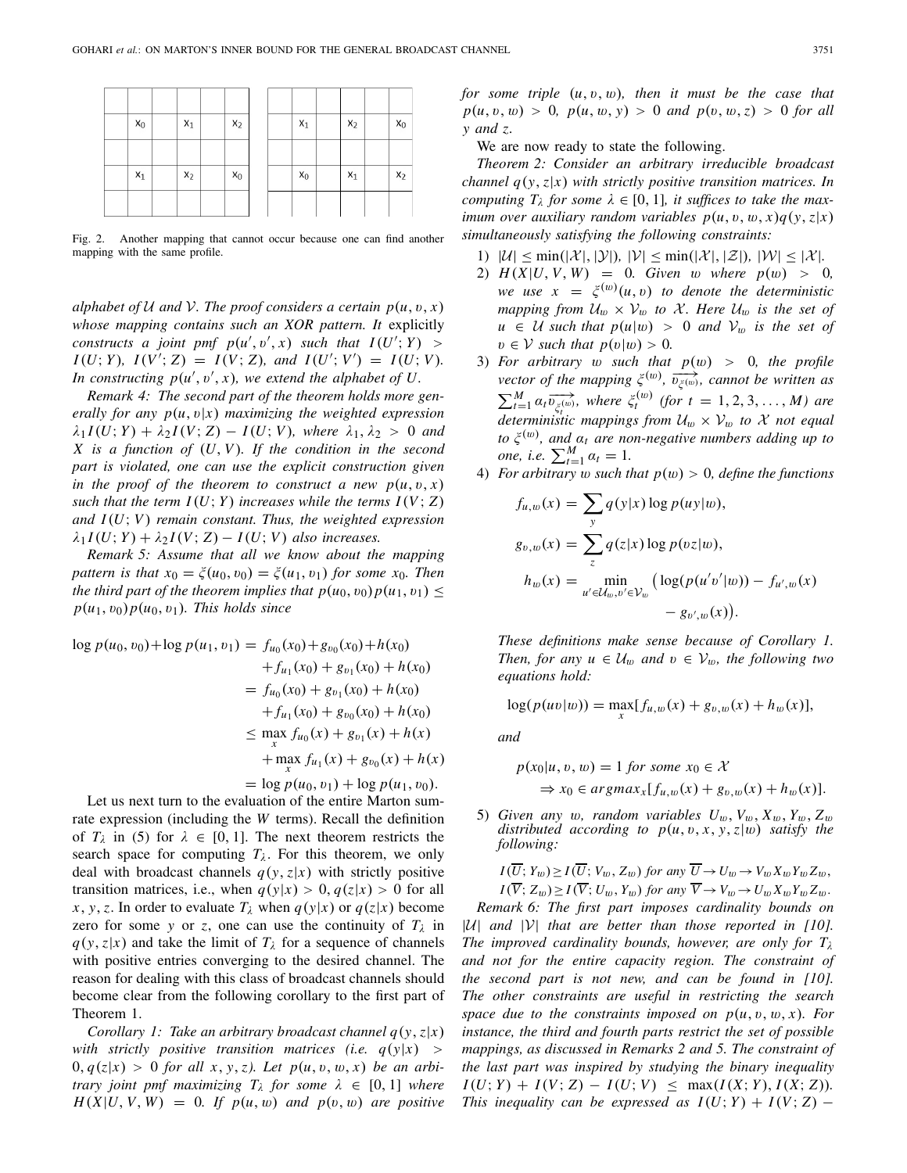| $x_0$ | $x_1$ | $x_2$ |  | $x_1$ | $x_2$ | $x_0$ |
|-------|-------|-------|--|-------|-------|-------|
|       |       |       |  |       |       |       |
| $x_1$ | $x_2$ | $x_0$ |  | $x_0$ | $x_1$ | $x_2$ |
|       |       |       |  |       |       |       |

Fig. 2. Another mapping that cannot occur because one can find another mapping with the same profile.

*alphabet of*  $U$  *and*  $V$ *. The proof considers a certain*  $p(u, v, x)$ *whose mapping contains such an XOR pattern. It* explicitly *constructs a joint pmf*  $p(u', v', x)$  *such that*  $I(U'; Y)$  *>*  $I(U; Y)$ ,  $I(V'; Z) = I(V; Z)$ , and  $I(U'; V') = I(U; V)$ . In constructing  $p(u', v', x)$ , we extend the alphabet of U.

*Remark 4: The second part of the theorem holds more generally for any*  $p(u, v|x)$  *maximizing the weighted expression*  $\lambda_1 I(U; Y) + \lambda_2 I(V; Z) - I(U; V)$ *, where*  $\lambda_1, \lambda_2 > 0$  *and X is a function of* (*U*, *V* )*. If the condition in the second part is violated, one can use the explicit construction given in the proof of the theorem to construct a new*  $p(u, v, x)$ *such that the term*  $I(U; Y)$  *increases while the terms*  $I(V; Z)$ *and I*(*U*; *V* ) *remain constant. Thus, the weighted expression*  $\lambda_1 I(U; Y) + \lambda_2 I(V; Z) - I(U; V)$  also increases.

*Remark 5: Assume that all we know about the mapping pattern is that*  $x_0 = \xi(u_0, v_0) = \xi(u_1, v_1)$  *for some*  $x_0$ *. Then the third part of the theorem implies that*  $p(u_0, v_0)p(u_1, v_1) \leq$  $p(u_1, v_0)p(u_0, v_1)$ *. This holds since* 

$$
\log p(u_0, v_0) + \log p(u_1, v_1) = f_{u_0}(x_0) + g_{v_0}(x_0) + h(x_0)
$$
  
+  $f_{u_1}(x_0) + g_{v_1}(x_0) + h(x_0)$   
=  $f_{u_0}(x_0) + g_{v_1}(x_0) + h(x_0)$   
+  $f_{u_1}(x_0) + g_{v_0}(x_0) + h(x_0)$   
 $\leq \max_{x} f_{u_0}(x) + g_{v_1}(x) + h(x)$   
+  $\max_{x} f_{u_1}(x) + g_{v_0}(x) + h(x)$   
=  $\log p(u_0, v_1) + \log p(u_1, v_0).$ 

Let us next turn to the evaluation of the entire Marton sumrate expression (including the *W* terms). Recall the definition of  $T_{\lambda}$  in (5) for  $\lambda \in [0, 1]$ . The next theorem restricts the search space for computing  $T_{\lambda}$ . For this theorem, we only deal with broadcast channels  $q(y, z|x)$  with strictly positive transition matrices, i.e., when  $q(y|x) > 0, q(z|x) > 0$  for all *x*, *y*, *z*. In order to evaluate  $T_\lambda$  when  $q(y|x)$  or  $q(z|x)$  become zero for some *y* or *z*, one can use the continuity of  $T_{\lambda}$  in  $q(y, z|x)$  and take the limit of  $T<sub>\lambda</sub>$  for a sequence of channels with positive entries converging to the desired channel. The reason for dealing with this class of broadcast channels should become clear from the following corollary to the first part of Theorem 1.

*Corollary 1: Take an arbitrary broadcast channel q*(*y*,*z*|*x*) *with strictly positive transition matrices (i.e.*  $q(y|x)$ *)*  $0, q(z|x) > 0$  *for all x, y, z). Let*  $p(u, v, w, x)$  *be an arbitrary joint pmf maximizing*  $T_{\lambda}$  *for some*  $\lambda \in [0, 1]$  *where*  $H(X|U, V, W) = 0$ . If  $p(u, w)$  and  $p(v, w)$  are positive *for some triple*  $(u, v, w)$ *, then it must be the case that*  $p(u, v, w) > 0$ ,  $p(u, w, y) > 0$  and  $p(v, w, z) > 0$  for all *y and z.*

We are now ready to state the following.

*Theorem 2: Consider an arbitrary irreducible broadcast channel q*(*y*,*z*|*x*) *with strictly positive transition matrices. In computing*  $T_{\lambda}$  *for some*  $\lambda \in [0, 1]$ *, it suffices to take the maximum over auxiliary random variables*  $p(u, v, w, x)q(y, z|x)$ *simultaneously satisfying the following constraints:*

- 1)  $|\mathcal{U}| \le \min(|\mathcal{X}|, |\mathcal{Y}|), |\mathcal{V}| \le \min(|\mathcal{X}|, |\mathcal{Z}|), |\mathcal{W}| \le |\mathcal{X}|.$
- 2)  $H(X|U, V, W) = 0$ *. Given* w *where*  $p(w) > 0$ *, we use*  $x = \xi^{(w)}(u, v)$  *to denote the deterministic mapping from*  $U_w \times V_w$  *to X. Here*  $U_w$  *is the set of*  $u \in U$  *such that*  $p(u|w) > 0$  *and*  $V_w$  *is the set of*  $v \in V$  *such that*  $p(v|w) > 0$ *.*
- 3) *For arbitrary* w *such that p*(w) > 0*, the profile vector of the mapping*  $\xi^{(w)}$ ,  $\overline{v_{\xi^{(w)}}}$ , cannot be written as  $\sum_{t=1}^{M} \alpha_t \overrightarrow{v_{\zeta_{t}^{(w)}}}$  $\sum_{\xi_i^{(w)}}$ , where  $\xi_t^{(w)}$  (for  $t = 1, 2, 3, ..., M$ ) are  $\frac{d}{dt}$  *deterministic mappings from*  $U_w \times V_w$  *to X not equal to*  $\xi^{(w)}$ *, and*  $\alpha_t$  *are non-negative numbers adding up to one, i.e.*  $\sum_{t=1}^{M} a_t = 1$ .
- 4) *For arbitrary* w *such that*  $p(w) > 0$ *, define the functions*

$$
f_{u,w}(x) = \sum_{y} q(y|x) \log p(uy|w),
$$
  
\n
$$
g_{v,w}(x) = \sum_{z} q(z|x) \log p(vz|w),
$$
  
\n
$$
h_w(x) = \min_{u' \in \mathcal{U}_w, v' \in \mathcal{V}_w} \left( \log(p(u'v'|w)) - f_{u',w}(x) - g_{v',w}(x) \right).
$$

*These definitions make sense because of Corollary 1. Then, for any*  $u \in \mathcal{U}_w$  *and*  $v \in \mathcal{V}_w$ *, the following two equations hold:*

$$
log(p(uv|w)) = \max_{x} [f_{u,w}(x) + g_{v,w}(x) + h_w(x)],
$$

*and*

$$
p(x_0|u, v, w) = 1 \text{ for some } x_0 \in \mathcal{X}
$$
  
\n
$$
\Rightarrow x_0 \in \text{argmax}_{x} [f_{u,w}(x) + g_{v,w}(x) + h_w(x)].
$$

5) *Given any* w, random variables  $U_w$ ,  $V_w$ ,  $X_w$ ,  $Y_w$ ,  $Z_w$ *distributed according to*  $p(u, v, x, y, z|w)$  *satisfy the following:*

$$
I(\overline{U}; Y_w) \ge I(\overline{U}; V_w, Z_w) \text{ for any } \overline{U} \to U_w \to V_w X_w Y_w Z_w,
$$
  

$$
I(\overline{V}; Z_w) \ge I(\overline{V}; U_w, Y_w) \text{ for any } \overline{V} \to V_w \to U_w X_w Y_w Z_w.
$$

*Remark 6: The first part imposes cardinality bounds on* |*U*| *and* |*V*| *that are better than those reported in [10]. The improved cardinality bounds, however, are only for*  $T_{\lambda}$ *and not for the entire capacity region. The constraint of the second part is not new, and can be found in [10]. The other constraints are useful in restricting the search space due to the constraints imposed on*  $p(u, v, w, x)$ *. For instance, the third and fourth parts restrict the set of possible mappings, as discussed in Remarks 2 and 5. The constraint of the last part was inspired by studying the binary inequality*  $I(U; Y) + I(V; Z) - I(U; V) \leq \max(I(X; Y), I(X; Z))$ . *This inequality can be expressed as*  $I(U; Y) + I(V; Z)$  −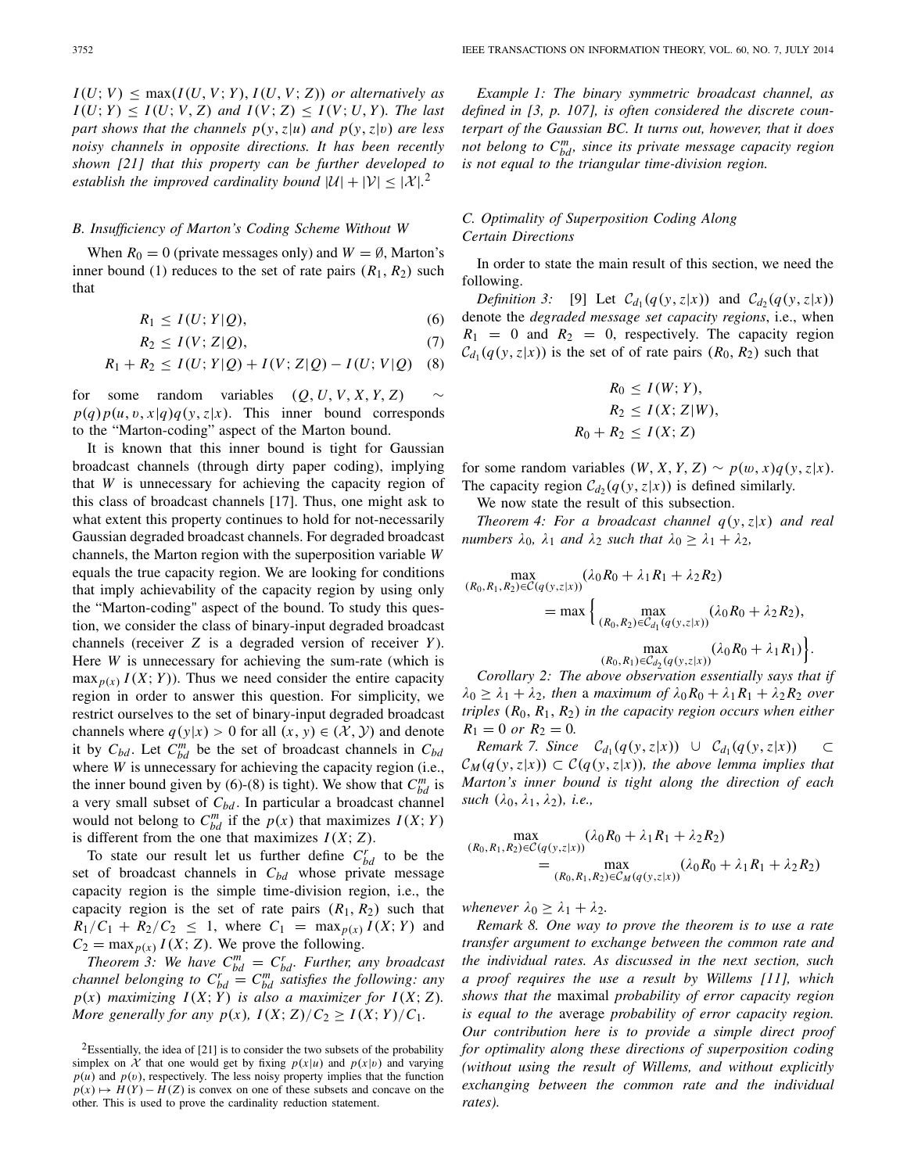$I(U; V) \leq \max(I(U, V; Y), I(U, V; Z))$  *or alternatively as*  $I(U; Y) \leq I(U; V, Z)$  *and*  $I(V; Z) \leq I(V; U, Y)$ *. The last part shows that the channels*  $p(y, z|u)$  *and*  $p(y, z|v)$  *are less noisy channels in opposite directions. It has been recently shown [21] that this property can be further developed to establish the improved cardinality bound*  $|U| + |V| \leq |X|$ .<sup>2</sup>

# *B. Insufficiency of Marton's Coding Scheme Without W*

When  $R_0 = 0$  (private messages only) and  $W = \emptyset$ , Marton's inner bound (1) reduces to the set of rate pairs  $(R_1, R_2)$  such that

 $R_1 \leq I(U;Y|Q)$ , (6)

$$
R_2 \le I(V; Z|Q),\tag{7}
$$

$$
R_1 + R_2 \le I(U;Y|Q) + I(V;Z|Q) - I(U;V|Q)
$$
 (8)

for some random variables  $(O, U, V, X, Y, Z)$  $p(q)p(u, v, x|q)q(y, z|x)$ . This inner bound corresponds to the "Marton-coding" aspect of the Marton bound.

It is known that this inner bound is tight for Gaussian broadcast channels (through dirty paper coding), implying that *W* is unnecessary for achieving the capacity region of this class of broadcast channels [17]. Thus, one might ask to what extent this property continues to hold for not-necessarily Gaussian degraded broadcast channels. For degraded broadcast channels, the Marton region with the superposition variable *W* equals the true capacity region. We are looking for conditions that imply achievability of the capacity region by using only the "Marton-coding" aspect of the bound. To study this question, we consider the class of binary-input degraded broadcast channels (receiver *Z* is a degraded version of receiver *Y* ). Here *W* is unnecessary for achieving the sum-rate (which is  $\max_{p(x)} I(X; Y)$ . Thus we need consider the entire capacity region in order to answer this question. For simplicity, we restrict ourselves to the set of binary-input degraded broadcast channels where  $q(y|x) > 0$  for all  $(x, y) \in (\mathcal{X}, \mathcal{Y})$  and denote it by  $C_{bd}$ . Let  $C_{bd}^m$  be the set of broadcast channels in  $C_{bd}$ where *W* is unnecessary for achieving the capacity region (i.e., the inner bound given by (6)-(8) is tight). We show that  $C_{bd}^m$  is a very small subset of *Cbd* . In particular a broadcast channel would not belong to  $C_{bd}^m$  if the  $p(x)$  that maximizes  $I(X; Y)$ is different from the one that maximizes  $I(X; Z)$ .

To state our result let us further define  $C_{bd}^r$  to be the set of broadcast channels in *Cbd* whose private message capacity region is the simple time-division region, i.e., the capacity region is the set of rate pairs  $(R_1, R_2)$  such that  $R_1/C_1 + R_2/C_2 \leq 1$ , where  $C_1 = \max_{p(x)} I(X; Y)$  and  $C_2 = \max_{p(x)} I(X; Z)$ . We prove the following.

*Theorem 3: We have*  $C_{bd}^m = C_{bd}^r$ . *Further, any broadcast channel belonging to*  $C_{bd}^r = C_{bd}^m$  *satisfies the following: any*  $p(x)$  *maximizing*  $I(X; Y)$  *is also a maximizer for*  $I(X; Z)$ *. More generally for any*  $p(x)$ *,*  $I(X; Z)/C_2 \geq I(X; Y)/C_1$ *.* 

*Example 1: The binary symmetric broadcast channel, as defined in [3, p. 107], is often considered the discrete counterpart of the Gaussian BC. It turns out, however, that it does not belong to*  $C_{bd}^m$ *, since its private message capacity region is not equal to the triangular time-division region.*

# *C. Optimality of Superposition Coding Along Certain Directions*

In order to state the main result of this section, we need the following.

*Definition 3:* [9] Let  $C_{d_1}(q(y, z|x))$  and  $C_{d_2}(q(y, z|x))$ denote the *degraded message set capacity regions*, i.e., when  $R_1 = 0$  and  $R_2 = 0$ , respectively. The capacity region  $C_{d_1}(q(y, z|x))$  is the set of of rate pairs  $(R_0, R_2)$  such that

$$
R_0 \le I(W; Y),
$$
  
\n
$$
R_2 \le I(X; Z|W),
$$
  
\n
$$
R_0 + R_2 \le I(X; Z)
$$

for some random variables  $(W, X, Y, Z) \sim p(w, x)q(y, z|x)$ . The capacity region  $C_{d_2}(q(y, z|x))$  is defined similarly.

We now state the result of this subsection.

*Theorem 4: For a broadcast channel q*(*y*,*z*|*x*) *and real numbers*  $\lambda_0$ ,  $\lambda_1$  *and*  $\lambda_2$  *such that*  $\lambda_0 \geq \lambda_1 + \lambda_2$ ,

$$
\max_{(R_0, R_1, R_2) \in C(q(y, z|x))} (\lambda_0 R_0 + \lambda_1 R_1 + \lambda_2 R_2)
$$
  
= max  $\Big\{ \max_{(R_0, R_2) \in C_{d_1}(q(y, z|x))} (\lambda_0 R_0 + \lambda_2 R_2),$   
 $\max_{(R_0, R_1) \in C_{d_2}(q(y, z|x))} (\lambda_0 R_0 + \lambda_1 R_1) \Big\}.$ 

*Corollary 2: The above observation essentially says that if*  $\lambda_0 \geq \lambda_1 + \lambda_2$ , then a maximum of  $\lambda_0 R_0 + \lambda_1 R_1 + \lambda_2 R_2$  over *triples* (*R*0, *R*1, *R*2) *in the capacity region occurs when either*  $R_1 = 0$  *or*  $R_2 = 0$ *.* 

*Remark 7. Since*  $C_{d_1}(q(y, z|x)) \cup C_{d_1}(q(y, z|x)) \subset \mathbb{C}$  $C_M(q(y, z|x)) \subset C(q(y, z|x))$ , the above lemma implies that *Marton's inner bound is tight along the direction of each such*  $(\lambda_0, \lambda_1, \lambda_2)$ *, i.e.,* 

$$
\max_{(R_0, R_1, R_2) \in C(q(y, z|x))} (\lambda_0 R_0 + \lambda_1 R_1 + \lambda_2 R_2)
$$
  
= 
$$
\max_{(R_0, R_1, R_2) \in C_M(q(y, z|x))} (\lambda_0 R_0 + \lambda_1 R_1 + \lambda_2 R_2)
$$

*whenever*  $\lambda_0 \geq \lambda_1 + \lambda_2$ .

*Remark 8. One way to prove the theorem is to use a rate transfer argument to exchange between the common rate and the individual rates. As discussed in the next section, such a proof requires the use a result by Willems [11], which shows that the* maximal *probability of error capacity region is equal to the* average *probability of error capacity region. Our contribution here is to provide a simple direct proof for optimality along these directions of superposition coding (without using the result of Willems, and without explicitly exchanging between the common rate and the individual rates).*

<sup>&</sup>lt;sup>2</sup>Essentially, the idea of [21] is to consider the two subsets of the probability simplex on *X* that one would get by fixing  $p(x|u)$  and  $p(x|v)$  and varying  $p(u)$  and  $p(v)$ , respectively. The less noisy property implies that the function  $p(x) \mapsto H(Y) - H(Z)$  is convex on one of these subsets and concave on the other. This is used to prove the cardinality reduction statement.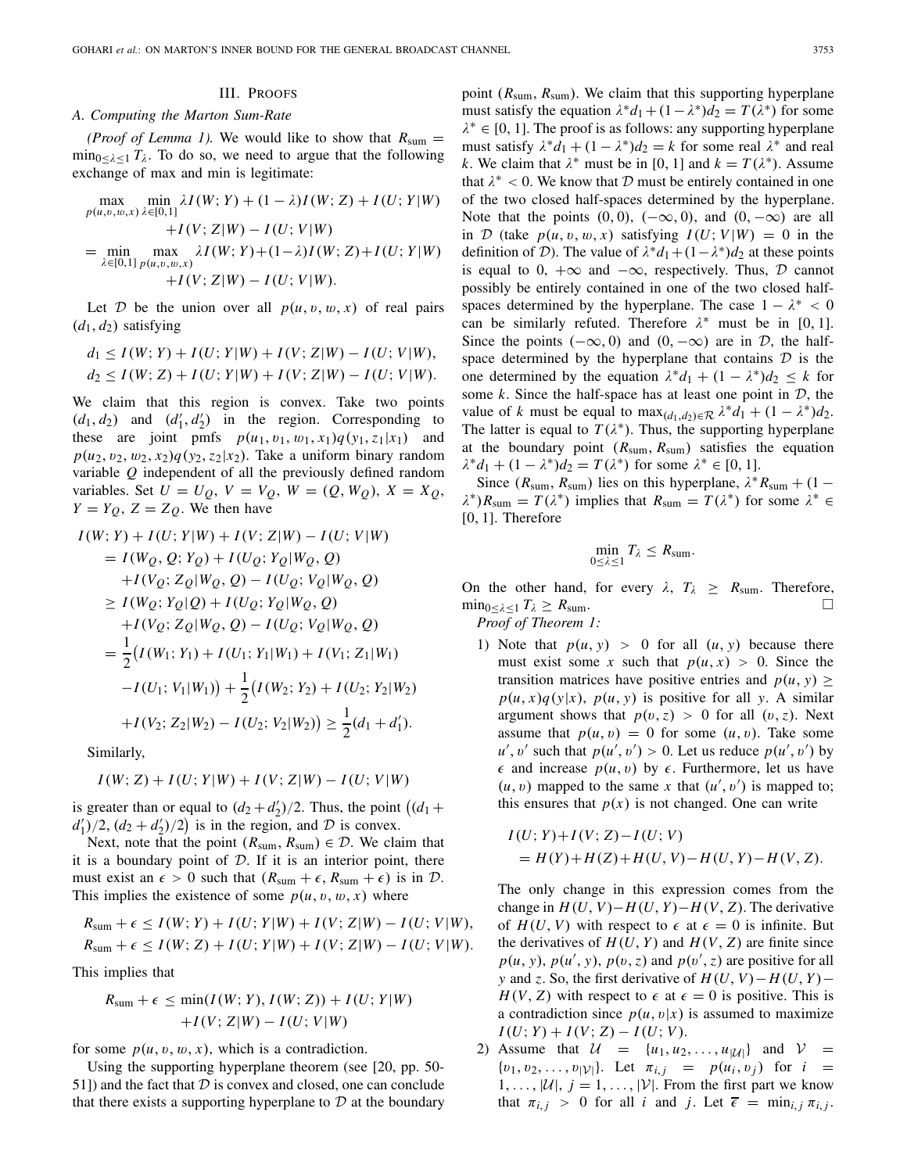# *A. Computing the Marton Sum-Rate*

*(Proof of Lemma 1).* We would like to show that  $R_{sum}$  =  $\min_{0 \leq \lambda \leq 1} T_{\lambda}$ . To do so, we need to argue that the following exchange of max and min is legitimate:

$$
\max_{p(u,v,w,x)} \min_{\lambda \in [0,1]} \lambda I(W;Y) + (1 - \lambda)I(W; Z) + I(U; Y|W) \n+ I(V; Z|W) - I(U; V|W) \n= \min_{\lambda \in [0,1]} \max_{p(u,v,w,x)} \lambda I(W; Y) + (1 - \lambda)I(W; Z) + I(U; Y|W) \n+ I(V; Z|W) - I(U; V|W).
$$

Let *D* be the union over all  $p(u, v, w, x)$  of real pairs  $(d_1, d_2)$  satisfying

$$
d_1 \le I(W; Y) + I(U; Y|W) + I(V; Z|W) - I(U; V|W),
$$
  
\n
$$
d_2 \le I(W; Z) + I(U; Y|W) + I(V; Z|W) - I(U; V|W).
$$

We claim that this region is convex. Take two points  $(d_1, d_2)$  and  $(d'_1, d'_2)$  in the region. Corresponding to these are joint pmfs  $p(u_1, v_1, w_1, x_1)q(y_1, z_1|x_1)$  and  $p(u_2, v_2, w_2, x_2)q(v_2, z_2|x_2)$ . Take a uniform binary random variable *Q* independent of all the previously defined random variables. Set  $U = U_Q$ ,  $V = V_Q$ ,  $W = (Q, W_Q)$ ,  $X = X_Q$ ,  $Y = Y_Q$ ,  $Z = Z_Q$ . We then have

$$
I(W; Y) + I(U; Y|W) + I(V; Z|W) - I(U; V|W)
$$
  
=  $I(W_Q, Q; Y_Q) + I(U_Q; Y_Q|W_Q, Q)$   
+ $I(V_Q; Z_Q|W_Q, Q) - I(U_Q; V_Q|W_Q, Q)$   
 $\ge I(W_Q; Y_Q|Q) + I(U_Q; Y_Q|W_Q, Q)$   
+ $I(V_Q; Z_Q|W_Q, Q) - I(U_Q; V_Q|W_Q, Q)$   
=  $\frac{1}{2}(I(W_1; Y_1) + I(U_1; Y_1|W_1) + I(V_1; Z_1|W_1)$   
- $I(U_1; V_1|W_1)) + \frac{1}{2}(I(W_2; Y_2) + I(U_2; Y_2|W_2)$   
+ $I(V_2; Z_2|W_2) - I(U_2; V_2|W_2)) \ge \frac{1}{2}(d_1 + d'_1).$ 

Similarly,

$$
I(W; Z) + I(U; Y|W) + I(V; Z|W) - I(U; V|W)
$$

is greater than or equal to  $(d_2 + d'_2)/2$ . Thus, the point  $((d_1 +$  $d'_1$ )/2,  $(d_2 + d'_2)$ /2) is in the region, and *D* is convex.

Next, note that the point  $(R_{sum}, R_{sum}) \in \mathcal{D}$ . We claim that it is a boundary point of *D*. If it is an interior point, there must exist an  $\epsilon > 0$  such that  $(R_{\text{sum}} + \epsilon, R_{\text{sum}} + \epsilon)$  is in  $\mathcal{D}$ . This implies the existence of some  $p(u, v, w, x)$  where

$$
R_{\text{sum}} + \epsilon \le I(W; Y) + I(U; Y|W) + I(V; Z|W) - I(U; V|W),
$$
  
\n
$$
R_{\text{sum}} + \epsilon \le I(W; Z) + I(U; Y|W) + I(V; Z|W) - I(U; V|W).
$$

This implies that

$$
R_{\text{sum}} + \epsilon \le \min(I(W; Y), I(W; Z)) + I(U; Y|W)
$$

$$
+ I(V; Z|W) - I(U; V|W)
$$

for some  $p(u, v, w, x)$ , which is a contradiction.

Using the supporting hyperplane theorem (see [20, pp. 50- 51]) and the fact that *D* is convex and closed, one can conclude that there exists a supporting hyperplane to *D* at the boundary

point (*R*sum, *R*sum). We claim that this supporting hyperplane must satisfy the equation  $\lambda^* d_1 + (1 - \lambda^*) d_2 = T(\lambda^*)$  for some  $\lambda^* \in [0, 1]$ . The proof is as follows: any supporting hyperplane must satisfy  $\lambda^* d_1 + (1 - \lambda^*) d_2 = k$  for some real  $\lambda^*$  and real *k*. We claim that  $\lambda^*$  must be in [0, 1] and  $k = T(\lambda^*)$ . Assume that  $\lambda^*$  < 0. We know that  $D$  must be entirely contained in one of the two closed half-spaces determined by the hyperplane. Note that the points  $(0, 0)$ ,  $(-\infty, 0)$ , and  $(0, -\infty)$  are all in *D* (take  $p(u, v, w, x)$  satisfying  $I(U; V | W) = 0$  in the definition of *D*). The value of  $\lambda^* d_1 + (1 - \lambda^*) d_2$  at these points is equal to 0,  $+\infty$  and  $-\infty$ , respectively. Thus,  $D$  cannot possibly be entirely contained in one of the two closed halfspaces determined by the hyperplane. The case  $1 - \lambda^* < 0$ can be similarly refuted. Therefore  $\lambda^*$  must be in [0, 1]. Since the points  $(-\infty, 0)$  and  $(0, -\infty)$  are in *D*, the halfspace determined by the hyperplane that contains *D* is the one determined by the equation  $\lambda^* d_1 + (1 - \lambda^*) d_2 \leq k$  for some *k*. Since the half-space has at least one point in *D*, the value of *k* must be equal to max $_{(d_1, d_2) \in \mathcal{R}} \lambda^* d_1 + (1 - \lambda^*) d_2$ . The latter is equal to  $T(\lambda^*)$ . Thus, the supporting hyperplane at the boundary point (*R*sum, *R*sum) satisfies the equation  $\lambda^* d_1 + (1 - \lambda^*) d_2 = T(\lambda^*)$  for some  $\lambda^* \in [0, 1]$ .

Since ( $R_{\text{sum}}$ ,  $R_{\text{sum}}$ ) lies on this hyperplane,  $\lambda^* R_{\text{sum}} + (1 \lambda^*$ )*R*<sub>sum</sub> =  $T(\lambda^*)$  implies that  $R_{sum} = T(\lambda^*)$  for some  $\lambda^* \in$  $[0, 1]$ . Therefore

$$
\min_{0\leq\lambda\leq 1}T_{\lambda}\leq R_{\text{sum}}.
$$

On the other hand, for every  $\lambda$ ,  $T_{\lambda} \geq R_{\text{sum}}$ . Therefore,  $\min_{0 \leq \lambda \leq 1} T_{\lambda} \geq R_{\text{sum}}$ .

*Proof of Theorem 1:*

1) Note that  $p(u, y) > 0$  for all  $(u, y)$  because there must exist some *x* such that  $p(u, x) > 0$ . Since the transition matrices have positive entries and  $p(u, v)$  >  $p(u, x)q(y|x)$ ,  $p(u, y)$  is positive for all *y*. A similar argument shows that  $p(v, z) > 0$  for all  $(v, z)$ . Next assume that  $p(u, v) = 0$  for some  $(u, v)$ . Take some  $u'$ , v' such that  $p(u', v') > 0$ . Let us reduce  $p(u', v')$  by  $\epsilon$  and increase  $p(u, v)$  by  $\epsilon$ . Furthermore, let us have  $(u, v)$  mapped to the same *x* that  $(u', v')$  is mapped to; this ensures that  $p(x)$  is not changed. One can write

$$
I(U; Y) + I(V; Z) - I(U; V)
$$
  
=  $H(Y) + H(Z) + H(U, V) - H(U, Y) - H(V, Z)$ .

The only change in this expression comes from the change in  $H(U, V) - H(U, Y) - H(V, Z)$ . The derivative of  $H(U, V)$  with respect to  $\epsilon$  at  $\epsilon = 0$  is infinite. But the derivatives of  $H(U, Y)$  and  $H(V, Z)$  are finite since  $p(u, y)$ ,  $p(u', y)$ ,  $p(v, z)$  and  $p(v', z)$  are positive for all *y* and *z*. So, the first derivative of  $H(U, V) - H(U, Y) H(V, Z)$  with respect to  $\epsilon$  at  $\epsilon = 0$  is positive. This is a contradiction since  $p(u, v|x)$  is assumed to maximize  $I(U; Y) + I(V; Z) - I(U; V)$ .

2) Assume that  $U = \{u_1, u_2, \dots, u_{|\mathcal{U}|}\}\$ and  $V =$  $\{v_1, v_2, \ldots, v_{|\mathcal{V}|}\}\$ . Let  $\pi_{i,j} = p(u_i, v_j)$  for  $i =$  $1, \ldots, |\mathcal{U}|, j = 1, \ldots, |\mathcal{V}|.$  From the first part we know that  $\pi_{i,j} > 0$  for all *i* and *j*. Let  $\overline{\epsilon} = \min_{i,j} \pi_{i,j}$ .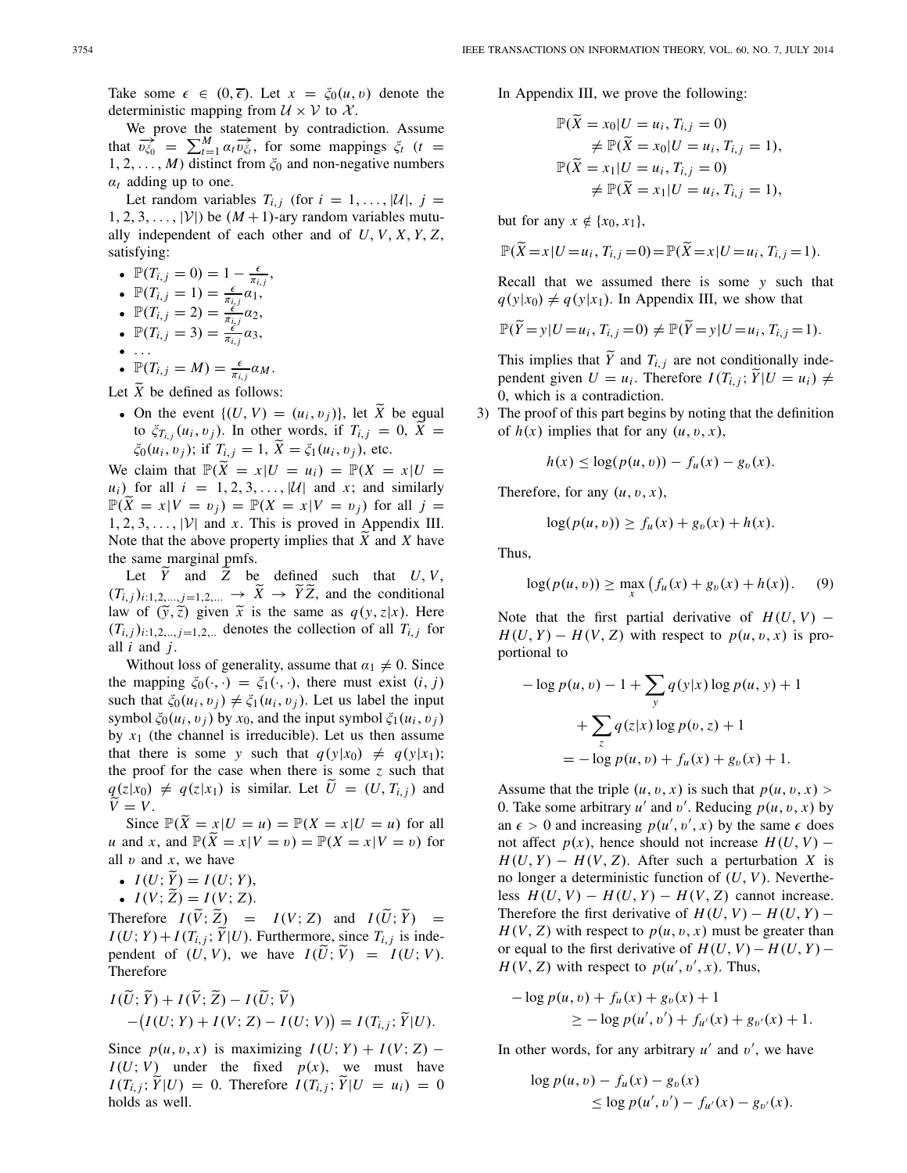Take some  $\epsilon \in (0, \overline{\epsilon})$ . Let  $x = \xi_0(u, v)$  denote the deterministic mapping from  $U \times V$  to  $X$ .

We prove the statement by contradiction. Assume that  $\overrightarrow{v_{\zeta_0}} = \sum_{t=1}^{M} \alpha_t \overrightarrow{v_{\zeta_t}}$ , for some mappings  $\zeta_t$  (*t* =  $1, 2, \ldots, M$ ) distinct from  $\zeta_0$  and non-negative numbers  $\alpha_t$  adding up to one.

Let random variables  $T_{i,j}$  (for  $i = 1, \ldots, |\mathcal{U}|, j =$  $1, 2, 3, \ldots, |\mathcal{V}|$  be  $(M+1)$ -ary random variables mutually independent of each other and of *U*, *V*, *X*, *Y*, *Z*, satisfying:

- $\mathbb{P}(T_{i,j}=0)=1-\frac{\epsilon}{\pi_{i,j}},$
- $\mathbb{P}(T_{i,j} = 1) = \frac{\epsilon}{\pi_{i,j}} \alpha_1$
- $\mathbb{P}(T_{i,j} = 2) = \frac{e^{i\theta_{j}}}{\pi_{i,j}}\alpha_{2},$
- $\mathbb{P}(T_{i,j}=3) = \frac{e^{j}}{\pi_{i,j}} \alpha_3,$
- ...

• 
$$
\mathbb{P}(T_{i,j}=M)=\frac{\epsilon}{\pi_{i,j}}\alpha_M.
$$

Let  $\widetilde{X}$  be defined as follows:

• On the event  $\{(U, V) = (u_i, v_j)\}\)$ , let  $\widetilde{X}$  be equal to  $\xi_{T_{i,j}}(u_i, v_j)$ . In other words, if  $T_{i,j} = 0$ ,  $\tilde{X} =$  $\zeta_0(u_i, v_j)$ ; if  $T_{i,j} = 1$ ,  $\bar{X} = \zeta_1(u_i, v_j)$ , etc.

We claim that  $\mathbb{P}(\tilde{X} = x | U = u_i) = \mathbb{P}(X = x | U =$  $u_i$ ) for all  $i = 1, 2, 3, \ldots, |\mathcal{U}|$  and *x*; and similarly  $\mathbb{P}(\widetilde{X} = x | V = v_i) = \mathbb{P}(X = x | V = v_i)$  for all  $j =$  $1, 2, 3, \ldots$ ,  $|V|$  and *x*. This is proved in Appendix III. Note that the above property implies that  $\hat{X}$  and  $X$  have the same marginal pmfs.

Let *Y* and *Z* be defined such that *U*, *V*,  $(T_{i,j})_{i:1,2,\dots,j=1,2,\dots} \rightarrow \overline{X} \rightarrow \overline{Y} \overline{Z}$ , and the conditional law of  $(\tilde{y}, \tilde{z})$  given  $\tilde{x}$  is the same as  $q(y, z|x)$ . Here  $(T_{i,j})_{i:1,2,\dots,j=1,2,\dots}$  denotes the collection of all  $T_{i,j}$  for all *i* and *j*.

Without loss of generality, assume that  $\alpha_1 \neq 0$ . Since the mapping  $\xi_0(\cdot, \cdot) = \xi_1(\cdot, \cdot)$ , there must exist  $(i, j)$ such that  $\xi_0(u_i, v_j) \neq \xi_1(u_i, v_j)$ . Let us label the input symbol  $\xi_0(u_i, v_i)$  by  $x_0$ , and the input symbol  $\xi_1(u_i, v_i)$ by  $x_1$  (the channel is irreducible). Let us then assume that there is some *y* such that  $q(y|x_0) \neq q(y|x_1)$ ; the proof for the case when there is some *z* such that  $q(z|x_0) \neq q(z|x_1)$  is similar. Let  $\hat{U} = (U, T_{i,j})$  and  $V = V$ .

Since  $\mathbb{P}(\tilde{X} = x | U = u) = \mathbb{P}(X = x | U = u)$  for all *u* and *x*, and  $\mathbb{P}(\widetilde{X} = x | V = v) = \mathbb{P}(X = x | V = v)$  for all  $v$  and  $x$ , we have

- $I(U; \tilde{Y}) = I(U; Y),$ <br> $I(U; \tilde{Z}) = I(U; Z)$
- $I(V; \tilde{Z}) = I(V; Z)$ .

Therefore  $I(\tilde{V}; \tilde{Z}) = I(V; Z)$  and  $I(\tilde{U}; \tilde{Y}) = I(U; Y) + I(\tilde{X} \times \tilde{Y})$  $I(U; Y) + I(T_{i,j}; Y|U)$ . Furthermore, since  $T_{i,j}$  is independent of  $(U, V)$ , we have  $I(U; \hat{V}) = I(U; V)$ . Therefore

$$
I(\widetilde{U};\widetilde{Y}) + I(\widetilde{V};\widetilde{Z}) - I(\widetilde{U};\widetilde{V})
$$
  
-(I(U;Y) + I(V;Z) - I(U;V)) = I(T<sub>i,j</sub>; \widetilde{Y}|U).

Since  $p(u, v, x)$  is maximizing  $I(U; Y) + I(V; Z)$  –  $I(U; V)$  under the fixed  $p(x)$ , we must have  $I(T_{i,j}; \hat{Y}|U) = 0$ . Therefore  $I(T_{i,j}; \hat{Y}|U = u_i) = 0$ holds as well.

In Appendix III, we prove the following:

$$
\mathbb{P}(\widetilde{X} = x_0 | U = u_i, T_{i,j} = 0)
$$
  
\n
$$
\neq \mathbb{P}(\widetilde{X} = x_0 | U = u_i, T_{i,j} = 1),
$$
  
\n
$$
\mathbb{P}(\widetilde{X} = x_1 | U = u_i, T_{i,j} = 0)
$$
  
\n
$$
\neq \mathbb{P}(\widetilde{X} = x_1 | U = u_i, T_{i,j} = 1),
$$

but for any  $x \notin \{x_0, x_1\}$ ,

$$
\mathbb{P}(\widetilde{X} = x | U = u_i, T_{i,j} = 0) = \mathbb{P}(\widetilde{X} = x | U = u_i, T_{i,j} = 1).
$$

Recall that we assumed there is some *y* such that  $q(y|x_0) \neq q(y|x_1)$ . In Appendix III, we show that

$$
\mathbb{P}(\widetilde{Y}=y|U=u_i, T_{i,j}=0) \neq \mathbb{P}(\widetilde{Y}=y|U=u_i, T_{i,j}=1).
$$

This implies that *Y* and  $T_{i,j}$  are not conditionally independent given  $U = u_i$ . Therefore  $I(T_{i,j}; \tilde{Y}|U = u_i) \neq 0$ 0, which is a contradiction.

3) The proof of this part begins by noting that the definition of  $h(x)$  implies that for any  $(u, v, x)$ ,

$$
h(x) \leq \log(p(u, v)) - f_u(x) - g_v(x).
$$

Therefore, for any  $(u, v, x)$ ,

$$
\log(p(u, v)) \ge f_u(x) + g_v(x) + h(x).
$$

Thus,

$$
\log(p(u, v)) \ge \max_{x} (f_u(x) + g_v(x) + h(x)). \tag{9}
$$

Note that the first partial derivative of  $H(U, V)$  –  $H(U, Y) - H(V, Z)$  with respect to  $p(u, v, x)$  is proportional to

$$
-\log p(u, v) - 1 + \sum_{y} q(y|x) \log p(u, y) + 1
$$

$$
+ \sum_{z} q(z|x) \log p(v, z) + 1
$$

$$
= -\log p(u, v) + f_u(x) + g_v(x) + 1.
$$

Assume that the triple  $(u, v, x)$  is such that  $p(u, v, x)$ 0. Take some arbitrary  $u'$  and  $v'$ . Reducing  $p(u, v, x)$  by an  $\epsilon > 0$  and increasing  $p(u', v', x)$  by the same  $\epsilon$  does not affect  $p(x)$ , hence should not increase  $H(U, V)$  −  $H(U, Y) - H(V, Z)$ . After such a perturbation *X* is no longer a deterministic function of (*U*, *V*). Nevertheless  $H(U, V) - H(U, Y) - H(V, Z)$  cannot increase. Therefore the first derivative of  $H(U, V) - H(U, Y) H(V, Z)$  with respect to  $p(u, v, x)$  must be greater than or equal to the first derivative of  $H(U, V) - H(U, Y) H(V, Z)$  with respect to  $p(u', v', x)$ . Thus,

$$
- \log p(u, v) + f_u(x) + g_v(x) + 1
$$
  
 
$$
\geq - \log p(u', v') + f_{u'}(x) + g_{v'}(x) + 1.
$$

In other words, for any arbitrary  $u'$  and  $v'$ , we have

$$
\log p(u, v) - f_u(x) - g_v(x) \le \log p(u', v') - f_{u'}(x) - g_{v'}(x).
$$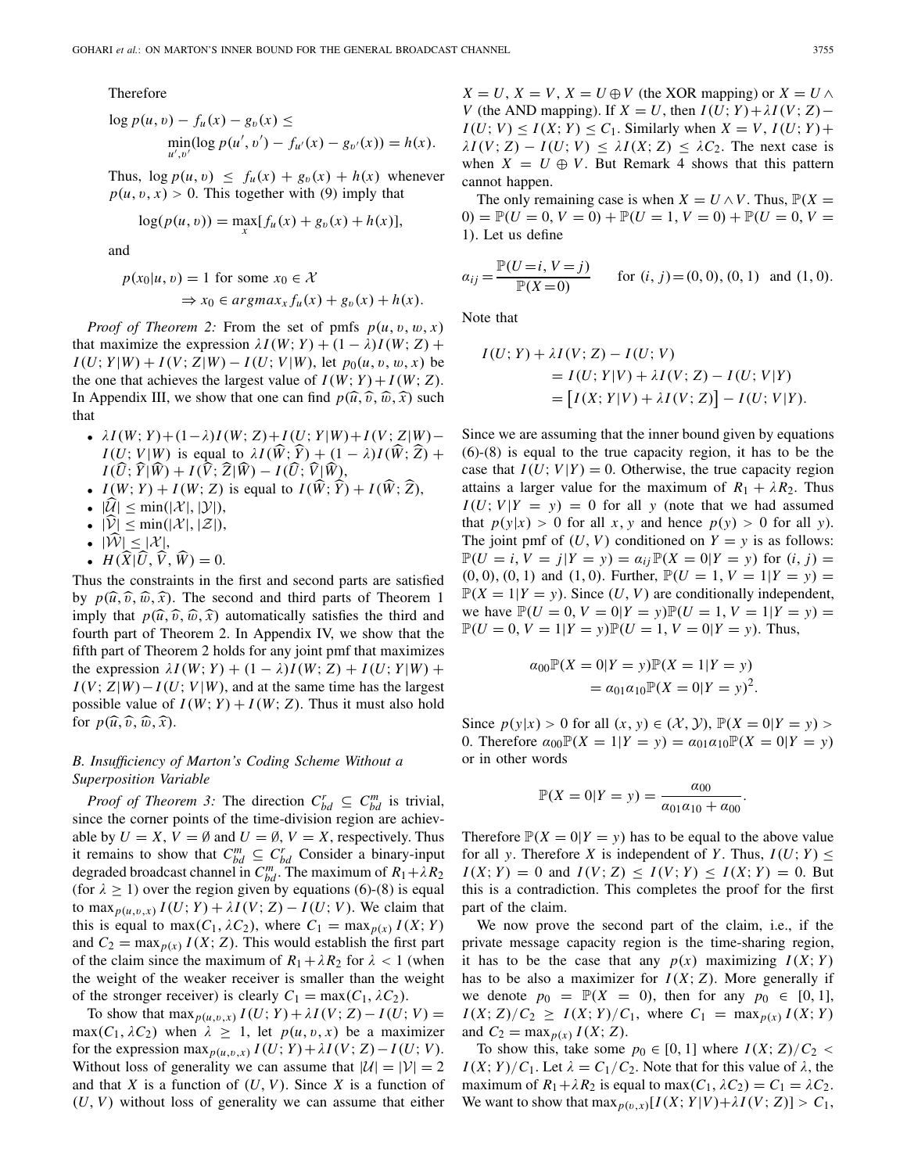Therefore

$$
\log p(u, v) - f_u(x) - g_v(x) \le \min_{u', v'} (\log p(u', v') - f_{u'}(x) - g_{v'}(x)) = h(x).
$$

Thus,  $\log p(u, v) \leq f_u(x) + g_v(x) + h(x)$  whenever  $p(u, v, x) > 0$ . This together with (9) imply that

$$
\log(p(u, v)) = \max_{x} [f_u(x) + g_v(x) + h(x)],
$$

and

$$
p(x_0|u, v) = 1 \text{ for some } x_0 \in \mathcal{X}
$$
  
\n
$$
\Rightarrow x_0 \in argmax_x f_u(x) + g_v(x) + h(x).
$$

*Proof of Theorem 2:* From the set of pmfs  $p(u, v, w, x)$ that maximize the expression  $\lambda I(W; Y) + (1 - \lambda)I(W; Z)$  +  $I(U; Y|W) + I(V; Z|W) - I(U; V|W)$ , let  $p_0(u, v, w, x)$  be the one that achieves the largest value of  $I(W; Y) + I(W; Z)$ . In Appendix III, we show that one can find  $p(\hat{u}, \hat{v}, \hat{w}, \hat{x})$  such that

- $\lambda I(W; Y) + (1 λ)I(W; Z) + I(U; Y|W) + I(V; Z|W)$ −  $I(U; V|W)$  is equal to  $\lambda I(\hat{W}; \hat{Y}) + (1 - \lambda)I(\hat{W}; \hat{Z}) + I(\hat{Y}; \hat{X})\hat{W}$  $I(\hat{U}; \hat{Y} | \hat{W}) + I(\hat{V}; \hat{Z} | \hat{W}) - I(\hat{U}; \hat{V} | \hat{W}),$ <br>  $I(W, Y) + I(W, Z)$
- $I(W; Y) + I(W; Z)$  is equal to  $I(\hat{W}; \hat{Y}) + I(\hat{W}; \hat{Z})$ ,
- $\cdot$   $|\mathcal{U}| \leq \min(|\mathcal{X}|,|\mathcal{Y}|),$
- $|\mathcal{V}| \le \min(|\mathcal{X}|,|\mathcal{Z}|),$
- $|\mathcal{\hat{W}}| \leq |\mathcal{X}|,$
- $H(\hat{X}|\hat{U}, \hat{V}, \hat{W}) = 0.$

Thus the constraints in the first and second parts are satisfied by  $p(\hat{u}, \hat{v}, \hat{w}, \hat{x})$ . The second and third parts of Theorem 1 imply that  $p(\widehat{u}, \widehat{v}, \widehat{w}, \widehat{x})$  automatically satisfies the third and fourth part of Theorem 2. In Appendix IV, we show that the fifth part of Theorem 2 holds for any joint pmf that maximizes the expression  $\lambda I(W; Y) + (1 - \lambda)I(W; Z) + I(U; Y|W) +$  $I(V; Z|W) - I(U; V|W)$ , and at the same time has the largest possible value of  $I(W; Y) + I(W; Z)$ . Thus it must also hold for  $p(\widehat{u}, \widehat{v}, \widehat{w}, \widehat{x})$ .

# *B. Insufficiency of Marton's Coding Scheme Without a Superposition Variable*

*Proof of Theorem 3:* The direction  $C_{bd}^r \subseteq C_{bd}^m$  is trivial, since the corner points of the time-division region are achievable by  $U = X$ ,  $V = \emptyset$  and  $U = \emptyset$ ,  $V = X$ , respectively. Thus it remains to show that  $C_{bd}^m \subseteq C_{bd}^r$  Consider a binary-input degraded broadcast channel in  $C_{bd}^m$ . The maximum of  $R_1 + \lambda R_2$ (for  $\lambda \ge 1$ ) over the region given by equations (6)-(8) is equal to max<sub>p(u,v,x)</sub>  $I(U; Y) + \lambda I(V; Z) - I(U; V)$ . We claim that this is equal to max( $C_1$ ,  $\lambda C_2$ ), where  $C_1 = \max_{p(x)} I(X; Y)$ and  $C_2 = \max_{p(x)} I(X; Z)$ . This would establish the first part of the claim since the maximum of  $R_1 + \lambda R_2$  for  $\lambda < 1$  (when the weight of the weaker receiver is smaller than the weight of the stronger receiver) is clearly  $C_1 = \max(C_1, \lambda C_2)$ .

To show that max<sub> $p(u,v,x)$ </sub>  $I(U;Y) + \lambda I(V; Z) - I(U; V) =$  $max(C_1, \lambda C_2)$  when  $\lambda \geq 1$ , let  $p(u, v, x)$  be a maximizer for the expression max<sub> $p(u,v,x)$ </sub>  $I(U;Y) + \lambda I(V;Z) - I(U;V)$ . Without loss of generality we can assume that  $|U| = |V| = 2$ and that *X* is a function of  $(U, V)$ . Since *X* is a function of (*U*, *V*) without loss of generality we can assume that either

 $X = U$ ,  $X = V$ ,  $X = U \oplus V$  (the XOR mapping) or  $X = U \wedge V$ *V* (the AND mapping). If *X* = *U*, then  $I(U; Y) + \lambda I(V; Z)$ −  $I(U; V) \leq I(X; Y) \leq C_1$ . Similarly when  $X = V$ ,  $I(U; Y) +$  $\lambda I(V; Z) - I(U; V) \leq \lambda I(X; Z) \leq \lambda C_2$ . The next case is when  $X = U \oplus V$ . But Remark 4 shows that this pattern cannot happen.

The only remaining case is when  $X = U \wedge V$ . Thus,  $\mathbb{P}(X =$  $(0) = \mathbb{P}(U = 0, V = 0) + \mathbb{P}(U = 1, V = 0) + \mathbb{P}(U = 0, V = 0)$ 1). Let us define

$$
\alpha_{ij} = \frac{\mathbb{P}(U=i, V=j)}{\mathbb{P}(X=0)} \quad \text{for } (i, j) = (0, 0), (0, 1) \text{ and } (1, 0).
$$

Note that

$$
I(U; Y) + \lambda I(V; Z) - I(U; V)
$$
  
=  $I(U; Y|V) + \lambda I(V; Z) - I(U; V|Y)$   
=  $[I(X; Y|V) + \lambda I(V; Z)] - I(U; V|Y).$ 

Since we are assuming that the inner bound given by equations (6)-(8) is equal to the true capacity region, it has to be the case that  $I(U; V|Y) = 0$ . Otherwise, the true capacity region attains a larger value for the maximum of  $R_1 + \lambda R_2$ . Thus  $I(U; V | Y = y) = 0$  for all *y* (note that we had assumed that  $p(y|x) > 0$  for all x, y and hence  $p(y) > 0$  for all y). The joint pmf of  $(U, V)$  conditioned on  $Y = y$  is as follows:  $\mathbb{P}(U = i, V = j | Y = y) = a_{ij} \mathbb{P}(X = 0 | Y = y)$  for  $(i, j) =$  $(0, 0), (0, 1)$  and  $(1, 0)$ . Further,  $\mathbb{P}(U = 1, V = 1 | Y = y) = 0$  $\mathbb{P}(X = 1 | Y = y)$ . Since  $(U, V)$  are conditionally independent, we have  $\mathbb{P}(U = 0, V = 0 | Y = y) \mathbb{P}(U = 1, V = 1 | Y = y) = 0$  $\mathbb{P}(U = 0, V = 1 | Y = y) \mathbb{P}(U = 1, V = 0 | Y = y)$ . Thus,

$$
\alpha_{00} \mathbb{P}(X = 0|Y = y) \mathbb{P}(X = 1|Y = y) \n= \alpha_{01} \alpha_{10} \mathbb{P}(X = 0|Y = y)^2.
$$

Since  $p(y|x) > 0$  for all  $(x, y) \in (X, Y)$ ,  $\mathbb{P}(X = 0 | Y = y) > 0$ 0. Therefore  $\alpha_{00}P(X = 1|Y = y) = \alpha_{01}\alpha_{10}P(X = 0|Y = y)$ or in other words

$$
\mathbb{P}(X = 0|Y = y) = \frac{\alpha_{00}}{\alpha_{01}\alpha_{10} + \alpha_{00}}.
$$

Therefore  $P(X = 0|Y = y)$  has to be equal to the above value for all *y*. Therefore *X* is independent of *Y*. Thus,  $I(U; Y) \leq$  $I(X; Y) = 0$  and  $I(V; Z) \leq I(V; Y) \leq I(X; Y) = 0$ . But this is a contradiction. This completes the proof for the first part of the claim.

We now prove the second part of the claim, i.e., if the private message capacity region is the time-sharing region, it has to be the case that any  $p(x)$  maximizing  $I(X; Y)$ has to be also a maximizer for  $I(X; Z)$ . More generally if we denote  $p_0 = \mathbb{P}(X = 0)$ , then for any  $p_0 \in [0, 1]$ ,  $I(X; Z)/C_2 \geq I(X; Y)/C_1$ , where  $C_1 = \max_{p(x)} I(X; Y)$ and  $C_2 = \max_{p(x)} I(X; Z)$ .

To show this, take some  $p_0 \in [0, 1]$  where  $I(X; Z)/C_2$  <  $I(X; Y)/C_1$ . Let  $\lambda = C_1/C_2$ . Note that for this value of  $\lambda$ , the maximum of  $R_1 + \lambda R_2$  is equal to max $(C_1, \lambda C_2) = C_1 = \lambda C_2$ . We want to show that  $\max_{p(v, x)}[I(X; Y|V) + \lambda I(V; Z)] > C_1$ ,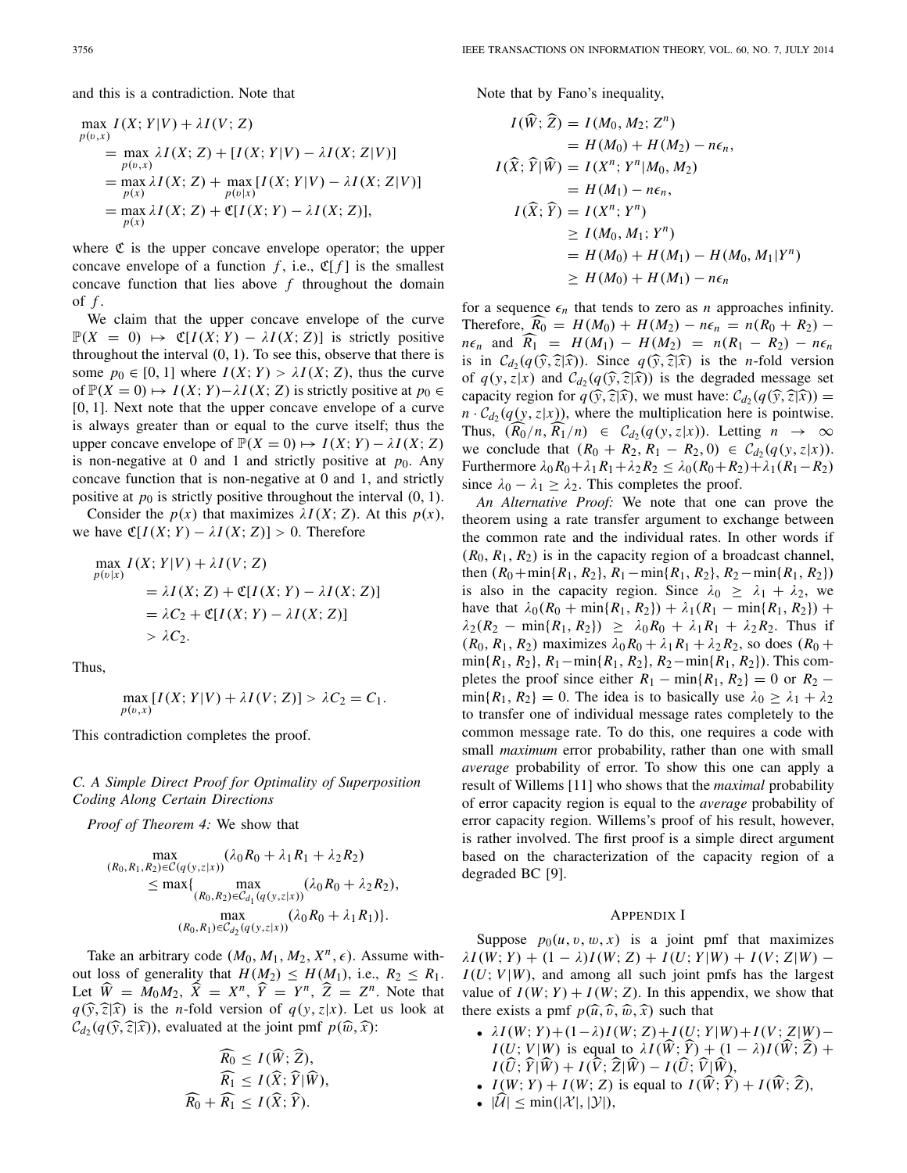and this is a contradiction. Note that

$$
\max_{p(v,x)} I(X; Y|V) + \lambda I(V; Z)
$$
\n
$$
= \max_{p(v,x)} \lambda I(X; Z) + [I(X; Y|V) - \lambda I(X; Z|V)]
$$
\n
$$
= \max_{p(x)} \lambda I(X; Z) + \max_{p(v|x)} [I(X; Y|V) - \lambda I(X; Z|V)]
$$
\n
$$
= \max_{p(x)} \lambda I(X; Z) + \mathfrak{C}[I(X; Y) - \lambda I(X; Z)],
$$

where  $\mathfrak C$  is the upper concave envelope operator; the upper concave envelope of a function  $f$ , i.e.,  $\mathfrak{C}[f]$  is the smallest concave function that lies above *f* throughout the domain of *f* .

We claim that the upper concave envelope of the curve  $\mathbb{P}(X = 0) \mapsto \mathfrak{C}[I(X; Y) - \lambda I(X; Z)]$  is strictly positive throughout the interval (0, 1). To see this, observe that there is some  $p_0 \in [0, 1]$  where  $I(X; Y) > \lambda I(X; Z)$ , thus the curve of  $\mathbb{P}(X = 0) \mapsto I(X; Y) - \lambda I(X; Z)$  is strictly positive at  $p_0 \in$ [0, 1]. Next note that the upper concave envelope of a curve is always greater than or equal to the curve itself; thus the upper concave envelope of  $\mathbb{P}(X = 0) \mapsto I(X; Y) - \lambda I(X; Z)$ is non-negative at 0 and 1 and strictly positive at  $p_0$ . Any concave function that is non-negative at 0 and 1, and strictly positive at  $p_0$  is strictly positive throughout the interval  $(0, 1)$ .

Consider the  $p(x)$  that maximizes  $\lambda I(X; Z)$ . At this  $p(x)$ , we have  $\mathfrak{C}[I(X; Y) - \lambda I(X; Z)] > 0$ . Therefore

$$
\max_{p(v|x)} I(X; Y|V) + \lambda I(V; Z)
$$
  
=  $\lambda I(X; Z) + \mathfrak{C}[I(X; Y) - \lambda I(X; Z)]$   
=  $\lambda C_2 + \mathfrak{C}[I(X; Y) - \lambda I(X; Z)]$   
>  $\lambda C_2$ .

Thus,

$$
\max_{p(v,x)}[I(X;Y|V) + \lambda I(V;Z)] > \lambda C_2 = C_1.
$$

This contradiction completes the proof.

*C. A Simple Direct Proof for Optimality of Superposition Coding Along Certain Directions*

*Proof of Theorem 4:* We show that

$$
\max_{(R_0, R_1, R_2) \in C(q(y, z|x))} (\lambda_0 R_0 + \lambda_1 R_1 + \lambda_2 R_2)
$$
  
\n
$$
\leq \max \{ \max_{(R_0, R_2) \in C_{d_1}(q(y, z|x))} (\lambda_0 R_0 + \lambda_2 R_2),
$$
  
\n
$$
\max_{(R_0, R_1) \in C_{d_2}(q(y, z|x))} (\lambda_0 R_0 + \lambda_1 R_1) \}.
$$

Take an arbitrary code  $(M_0, M_1, M_2, X^n, \epsilon)$ . Assume without loss of generality that  $H(M_2) \leq H(M_1)$ , i.e.,  $R_2 \leq R_1$ . Let  $\widehat{W} = M_0 M_2$ ,  $\widehat{X} = X^n$ ,  $\widehat{Y} = Y^n$ ,  $\widehat{Z} = Z^n$ . Note that  $q(\hat{y}, \hat{z}|\hat{x})$  is the *n*-fold version of  $q(y, z|x)$ . Let us look at  $\mathcal{C}_d$  (*q*( $\hat{y}$ ,  $\hat{z}$ ), evaluated at the joint pmf *p*( $\hat{w}$ ,  $\hat{x}$ ):

$$
\begin{aligned} \widehat{R_0} &\leq I(\widehat{W};\widehat{Z}),\\ \widehat{R_1} &\leq I(\widehat{X};\widehat{Y}|\widehat{W}),\\ \widehat{R_0} + \widehat{R_1} &\leq I(\widehat{X};\widehat{Y}). \end{aligned}
$$

Note that by Fano's inequality,

$$
I(\widehat{W}; \widehat{Z}) = I(M_0, M_2; Z^n)
$$
  
=  $H(M_0) + H(M_2) - n\epsilon_n$ ,  

$$
I(\widehat{X}; \widehat{Y} | \widehat{W}) = I(X^n; Y^n | M_0, M_2)
$$
  
=  $H(M_1) - n\epsilon_n$ ,  

$$
I(\widehat{X}; \widehat{Y}) = I(X^n; Y^n)
$$
  

$$
\ge I(M_0, M_1; Y^n)
$$
  
=  $H(M_0) + H(M_1) - H(M_0, M_1 | Y^n)$   

$$
\ge H(M_0) + H(M_1) - n\epsilon_n
$$

for a sequence  $\epsilon_n$  that tends to zero as *n* approaches infinity. Therefore,  $\widehat{R_0} = H(M_0) + H(M_2) - n\epsilon_n = n(R_0 + R_2)$  $n\epsilon_n$  and  $\widehat{R_1} = H(M_1) - H(M_2) = n(R_1 - R_2) - n\epsilon_n$ is in  $C_{d_2}(q(\hat{y}, \hat{z}|\hat{x}))$ . Since  $q(\hat{y}, \hat{z}|\hat{x})$  is the *n*-fold version of  $q(y, z|x)$  and  $C_{d_2}(q(\widehat{y}, \widehat{z}|\widehat{x}))$  is the degraded message set capacity region for  $q(\hat{y}, \hat{z} | \hat{x})$ , we must have:  $\mathcal{C}_{d_2}(q(\hat{y}, \hat{z} | \hat{x})) =$  $n \cdot C_{d_2}(q(y, z|x))$ , where the multiplication here is pointwise. Thus,  $(R_0/n, R_1/n) \in C_{d_2}(q(y, z|x))$ . Letting  $n \to \infty$ we conclude that  $(R_0 + R_2, R_1 - R_2, 0) \in C_{d_2}(q(y, z|x)).$ Furthermore λ0*R*0+λ1*R*1+λ2*R*<sup>2</sup> ≤ λ0(*R*0+*R*2)+λ1(*R*1−*R*2) since  $\lambda_0 - \lambda_1 \geq \lambda_2$ . This completes the proof.

*An Alternative Proof:* We note that one can prove the theorem using a rate transfer argument to exchange between the common rate and the individual rates. In other words if  $(R_0, R_1, R_2)$  is in the capacity region of a broadcast channel, then  $(R_0 + \min\{R_1, R_2\}, R_1 - \min\{R_1, R_2\}, R_2 - \min\{R_1, R_2\})$ is also in the capacity region. Since  $\lambda_0 \geq \lambda_1 + \lambda_2$ , we have that  $\lambda_0(R_0 + \min\{R_1, R_2\}) + \lambda_1(R_1 - \min\{R_1, R_2\}) +$  $\lambda_2(R_2 - \min\{R_1, R_2\}) \geq \lambda_0 R_0 + \lambda_1 R_1 + \lambda_2 R_2$ . Thus if  $(R_0, R_1, R_2)$  maximizes  $\lambda_0 R_0 + \lambda_1 R_1 + \lambda_2 R_2$ , so does  $(R_0 +$ min{*R*1, *R*2}, *R*1−min{*R*1, *R*2}, *R*2−min{*R*1, *R*2}). This completes the proof since either  $R_1 - \min\{R_1, R_2\} = 0$  or  $R_2 \min\{R_1, R_2\} = 0$ . The idea is to basically use  $\lambda_0 \geq \lambda_1 + \lambda_2$ to transfer one of individual message rates completely to the common message rate. To do this, one requires a code with small *maximum* error probability, rather than one with small *average* probability of error. To show this one can apply a result of Willems [11] who shows that the *maximal* probability of error capacity region is equal to the *average* probability of error capacity region. Willems's proof of his result, however, is rather involved. The first proof is a simple direct argument based on the characterization of the capacity region of a degraded BC [9].

#### APPENDIX I

Suppose  $p_0(u, v, w, x)$  is a joint pmf that maximizes  $\lambda I(W; Y) + (1 - \lambda)I(W; Z) + I(U; Y|W) + I(V; Z|W)$  −  $I(U; V | W)$ , and among all such joint pmfs has the largest value of  $I(W; Y) + I(W; Z)$ . In this appendix, we show that there exists a pmf  $p(\widehat{u}, \widehat{v}, \widehat{w}, \widehat{x})$  such that

- $\lambda I(W; Y) + (1 λ)I(W; Z) + I(U; Y|W) + I(V; Z|W) –$  $I(U; V|W)$  is equal to  $\lambda I(\hat{W}; \hat{Y}) + (1 - \lambda)I(\hat{W}; \hat{Z}) +$  $I(\hat{U}; \hat{Y} | \hat{W}) + I(\hat{V}; \hat{Z} | \hat{W}) - I(\hat{U}; \hat{V} | \hat{W}),$ <br>  $I(W, Y) + I(W, Z)$
- $I(W; Y) + I(W; Z)$  is equal to  $I(\hat{W}; \hat{Y}) + I(\hat{W}; \hat{Z})$ ,
- $|\mathcal{\hat{U}}| \leq \min(|\mathcal{X}|,|\mathcal{Y}|),$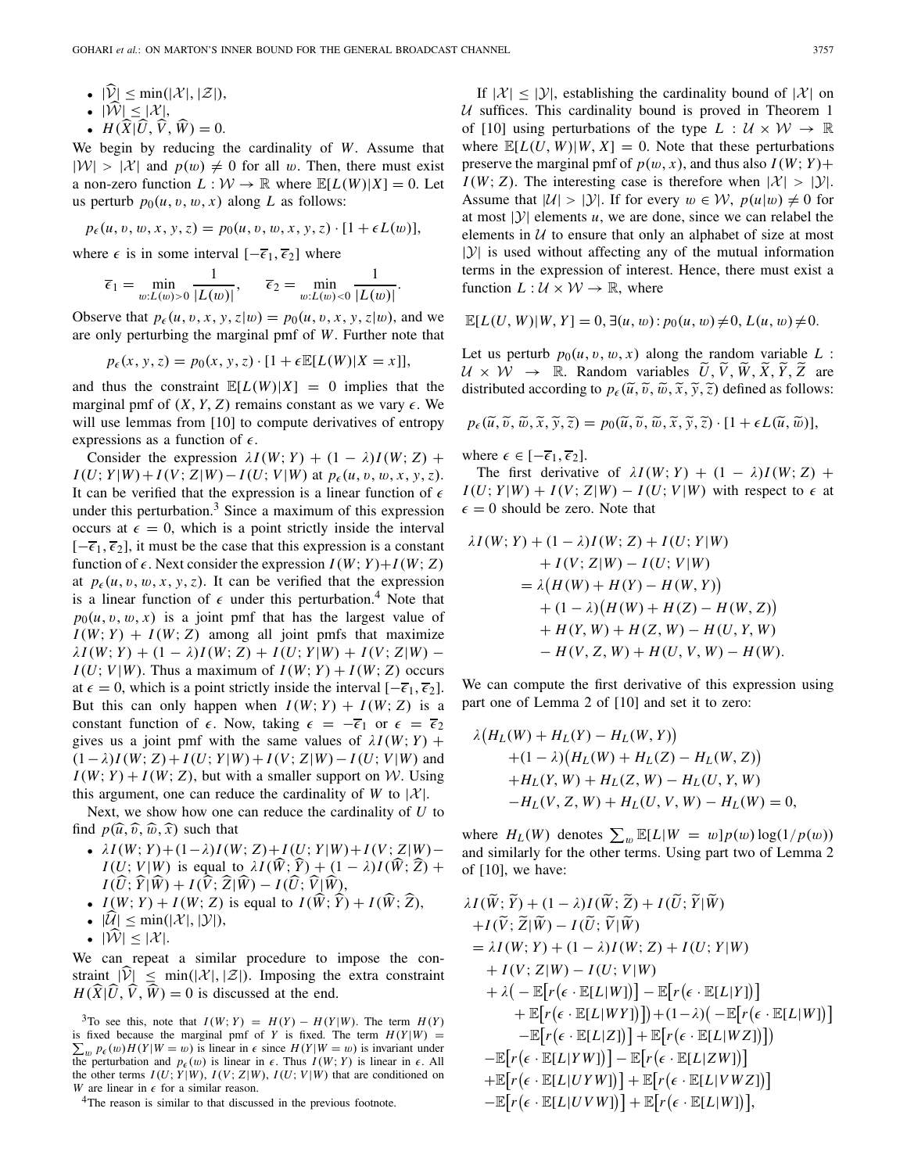- $|\widehat{\mathcal{V}}| \le \min(|\mathcal{X}|,|\mathcal{Z}|),$
- $|\widehat{\mathcal{W}}| \leq |\mathcal{X}|,$
- $H(\hat{X}|\hat{U}, \hat{V}, \hat{W}) = 0.$

We begin by reducing the cardinality of *W*. Assume that  $|W| > |\mathcal{X}|$  and  $p(w) \neq 0$  for all w. Then, there must exist a non-zero function  $L : \mathcal{W} \to \mathbb{R}$  where  $\mathbb{E}[L(W)|X] = 0$ . Let us perturb  $p_0(u, v, w, x)$  along *L* as follows:

$$
p_{\epsilon}(u, v, w, x, y, z) = p_0(u, v, w, x, y, z) \cdot [1 + \epsilon L(w)],
$$

where  $\epsilon$  is in some interval  $[-\overline{\epsilon}_1, \overline{\epsilon}_2]$  where

$$
\overline{\epsilon}_1 = \min_{w:L(w)>0} \frac{1}{|L(w)|}, \quad \overline{\epsilon}_2 = \min_{w:L(w)<0} \frac{1}{|L(w)|}.
$$

Observe that  $p_{\epsilon}(u, v, x, y, z|w) = p_0(u, v, x, y, z|w)$ , and we are only perturbing the marginal pmf of *W*. Further note that

 $p_{\epsilon}(x, y, z) = p_0(x, y, z) \cdot [1 + \epsilon \mathbb{E}[L(W)|X = x]],$ 

and thus the constraint  $\mathbb{E}[L(W)|X] = 0$  implies that the marginal pmf of  $(X, Y, Z)$  remains constant as we vary  $\epsilon$ . We will use lemmas from [10] to compute derivatives of entropy expressions as a function of  $\epsilon$ .

Consider the expression  $\lambda I(W; Y) + (1 - \lambda)I(W; Z)$  +  $I(U; Y|W) + I(V; Z|W) - I(U; V|W)$  at  $p_{\epsilon}(u, v, w, x, y, z)$ . It can be verified that the expression is a linear function of  $\epsilon$ under this perturbation.<sup>3</sup> Since a maximum of this expression occurs at  $\epsilon = 0$ , which is a point strictly inside the interval  $[-\overline{\epsilon}_1, \overline{\epsilon}_2]$ , it must be the case that this expression is a constant function of  $\epsilon$ . Next consider the expression  $I(W; Y) + I(W; Z)$ at  $p_{\epsilon}(u, v, w, x, y, z)$ . It can be verified that the expression is a linear function of  $\epsilon$  under this perturbation.<sup>4</sup> Note that  $p_0(u, v, w, x)$  is a joint pmf that has the largest value of  $I(W; Y) + I(W; Z)$  among all joint pmfs that maximize  $\lambda I(W; Y) + (1 - \lambda)I(W; Z) + I(U; Y|W) + I(V; Z|W)$  −  $I(U; V | W)$ . Thus a maximum of  $I(W; Y) + I(W; Z)$  occurs at  $\epsilon = 0$ , which is a point strictly inside the interval  $[-\overline{\epsilon}_1, \overline{\epsilon}_2]$ . But this can only happen when  $I(W; Y) + I(W; Z)$  is a constant function of  $\epsilon$ . Now, taking  $\epsilon = -\overline{\epsilon}_1$  or  $\epsilon = \overline{\epsilon}_2$ gives us a joint pmf with the same values of  $\lambda I(W; Y)$  +  $(1 – λ)I(W; Z) + I(U; Y|W) + I(V; Z|W) – I(U; V|W)$  and  $I(W; Y) + I(W; Z)$ , but with a smaller support on *W*. Using this argument, one can reduce the cardinality of *W* to  $|X|$ .

Next, we show how one can reduce the cardinality of *U* to find  $p(\hat{u}, \hat{v}, \hat{w}, \hat{x})$  such that

- $\lambda I(W; Y) + (1 λ)I(W; Z) + I(U; Y|W) + I(V; Z|W) –$  $I(U; V|W)$  is equal to  $\lambda I(\hat{W}; \hat{Y}) + (1 - \lambda)I(\hat{W}; \hat{Z}) +$  $I(\hat{U}; \hat{Y} | \hat{W}) + I(\hat{V}; \hat{Z} | \hat{W}) - I(\hat{U}; \hat{V} | \hat{W}),$ <br> *L*(*W*) *W*) + *L*(*W*)  $\hat{Z}$ ),  $\hat{W}$  + *L*(*R*)  $\hat{X}$ ),
- $I(W; Y) + I(W; Z)$  is equal to  $I(\hat{W}; \hat{Y}) + I(\hat{W}; \hat{Z})$ ,
- $\bullet$   $|\mathcal{U}| \leq \min(|\mathcal{X}|,|\mathcal{Y}|),$
- $|\mathcal{W}| \leq |\mathcal{X}|$ .

We can repeat a similar procedure to impose the constraint  $|\hat{V}| \le \min(|\mathcal{X}|, |\mathcal{Z}|)$ . Imposing the extra constraint  $H(\widehat{X}|\widehat{U}, \widehat{V}, \widehat{W}) = 0$  is discussed at the end.

If  $|\mathcal{X}| \leq |\mathcal{Y}|$ , establishing the cardinality bound of  $|\mathcal{X}|$  on *U* suffices. This cardinality bound is proved in Theorem 1 of [10] using perturbations of the type  $L : U \times W \rightarrow \mathbb{R}$ where  $\mathbb{E}[L(U, W)|W, X] = 0$ . Note that these perturbations preserve the marginal pmf of  $p(w, x)$ , and thus also  $I(W; Y)$ +  $I(W; Z)$ . The interesting case is therefore when  $|X| > |Y|$ . Assume that  $|U| > |Y|$ . If for every  $w \in W$ ,  $p(u|w) \neq 0$  for at most  $|y|$  elements *u*, we are done, since we can relabel the elements in  $U$  to ensure that only an alphabet of size at most  $|Y|$  is used without affecting any of the mutual information terms in the expression of interest. Hence, there must exist a function  $L: \mathcal{U} \times \mathcal{W} \rightarrow \mathbb{R}$ , where

$$
\mathbb{E}[L(U, W)|W, Y] = 0, \exists (u, w): p_0(u, w) \neq 0, L(u, w) \neq 0.
$$

Let us perturb  $p_0(u, v, w, x)$  along the random variable  $L$ :  $U \times \hat{W} \rightarrow \mathbb{R}$ . Random variables  $\tilde{U}, \tilde{V}, \tilde{W}, \tilde{X}, \tilde{Y}, \tilde{Z}$  are distributed according to  $p_{\epsilon}(\tilde{u}, \tilde{v}, \tilde{w}, \tilde{x}, \tilde{y}, \tilde{z})$  defined as follows:

$$
p_{\epsilon}(\widetilde{u},\widetilde{v},\widetilde{w},\widetilde{x},\widetilde{y},\widetilde{z})=p_0(\widetilde{u},\widetilde{v},\widetilde{w},\widetilde{x},\widetilde{y},\widetilde{z})\cdot[1+\epsilon L(\widetilde{u},\widetilde{w})],
$$

where  $\epsilon \in [-\overline{\epsilon}_1, \overline{\epsilon}_2]$ .

یہ ہے

The first derivative of  $\lambda I(W; Y) + (1 - \lambda)I(W; Z)$  +  $I(U; Y|W) + I(V; Z|W) - I(U; V|W)$  with respect to  $\epsilon$  at  $\epsilon = 0$  should be zero. Note that

$$
\lambda I(W; Y) + (1 - \lambda)I(W; Z) + I(U; Y|W)
$$
  
+ 
$$
I(V; Z|W) - I(U; V|W)
$$
  
= 
$$
\lambda (H(W) + H(Y) - H(W, Y))
$$
  
+ 
$$
(1 - \lambda) (H(W) + H(Z) - H(W, Z))
$$
  
+ 
$$
H(Y, W) + H(Z, W) - H(U, Y, W)
$$
  
- 
$$
H(V, Z, W) + H(U, V, W) - H(W).
$$

We can compute the first derivative of this expression using part one of Lemma 2 of [10] and set it to zero:

$$
\lambda (H_L(W) + H_L(Y) - H_L(W, Y)) \n+ (1 - \lambda) (H_L(W) + H_L(Z) - H_L(W, Z)) \n+ H_L(Y, W) + H_L(Z, W) - H_L(U, Y, W) \n- H_L(V, Z, W) + H_L(U, V, W) - H_L(W) = 0,
$$

where  $H_L(W)$  denotes  $\sum_w \mathbb{E}[L|W = w]p(w)\log(1/p(w))$ and similarly for the other terms. Using part two of Lemma 2 of [10], we have:

لم لم الم

$$
\lambda I(\tilde{W}; \tilde{Y}) + (1 - \lambda)I(\tilde{W}; \tilde{Z}) + I(\tilde{U}; \tilde{Y} | \tilde{W}) \n+ I(\tilde{V}; \tilde{Z} | \tilde{W}) - I(\tilde{U}; \tilde{V} | \tilde{W}) \n= \lambda I(W; Y) + (1 - \lambda)I(W; Z) + I(U; Y | W) \n+ I(V; Z | W) - I(U; V | W) \n+ \lambda \left( - \mathbb{E}[r(\epsilon \cdot \mathbb{E}[L|W)]) \right) - \mathbb{E}[r(\epsilon \cdot \mathbb{E}[L|Y])] \n+ \mathbb{E}[r(\epsilon \cdot \mathbb{E}[L|WY])]) + (1 - \lambda) \left( - \mathbb{E}[r(\epsilon \cdot \mathbb{E}[L|W])] \right) \n- \mathbb{E}[r(\epsilon \cdot \mathbb{E}[L|ZW)]) + \mathbb{E}[r(\epsilon \cdot \mathbb{E}[L|WZ])]) \n- \mathbb{E}[r(\epsilon \cdot \mathbb{E}[L|VW])] - \mathbb{E}[r(\epsilon \cdot \mathbb{E}[L|ZW])] \n+ \mathbb{E}[r(\epsilon \cdot \mathbb{E}[L|UVW])] + \mathbb{E}[r(\epsilon \cdot \mathbb{E}[L|VWZ])] \n- \mathbb{E}[r(\epsilon \cdot \mathbb{E}[L|UVW])] + \mathbb{E}[r(\epsilon \cdot \mathbb{E}[L|VW])],
$$

 ${}^{3}$ To see this, note that  $I(W; Y) = H(Y) - H(Y|W)$ . The term  $H(Y)$  $\sum_{w} p_{\epsilon}(w)H(Y|W=w)$  is linear in  $\epsilon$  since  $H(Y|W=w)$  is invariant under is fixed because the marginal pmf of *Y* is fixed. The term  $H(Y|W)$  = the perturbation and  $p_{\epsilon}(w)$  is linear in  $\epsilon$ . Thus  $I(W; Y)$  is linear in  $\epsilon$ . All the other terms  $I(U; Y|W)$ ,  $I(V; Z|W)$ ,  $I(U; V|W)$  that are conditioned on *W* are linear in  $\epsilon$  for a similar reason.

<sup>4</sup>The reason is similar to that discussed in the previous footnote.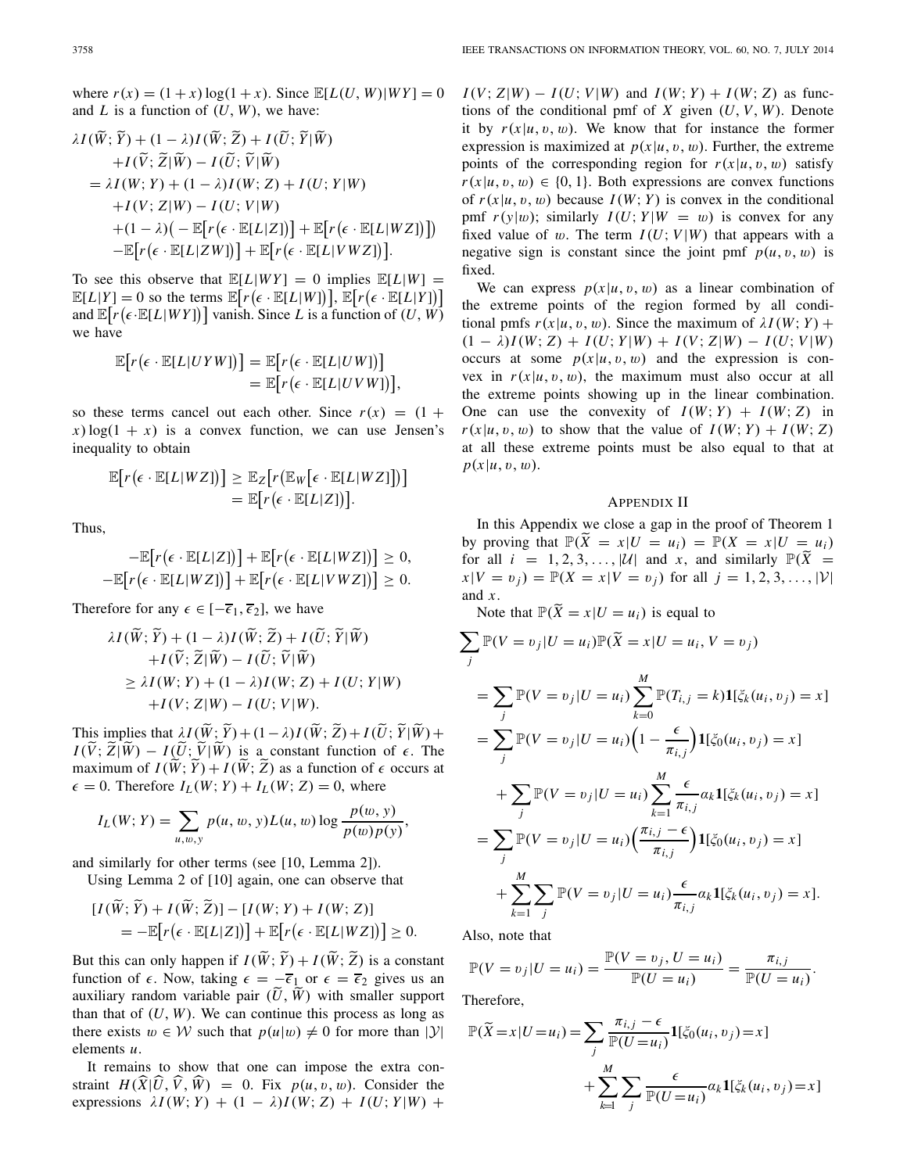where  $r(x) = (1 + x) \log(1 + x)$ . Since  $\mathbb{E}[L(U, W)|WY] = 0$ and  $L$  is a function of  $(U, W)$ , we have:

$$
\lambda I(\widetilde{W}; \widetilde{Y}) + (1 - \lambda)I(\widetilde{W}; \widetilde{Z}) + I(\widetilde{U}; \widetilde{Y} | \widetilde{W}) \n+ I(\widetilde{V}; \widetilde{Z} | \widetilde{W}) - I(\widetilde{U}; \widetilde{V} | \widetilde{W}) \n= \lambda I(W; Y) + (1 - \lambda)I(W; Z) + I(U; Y | W) \n+ I(V; Z | W) - I(U; V | W) \n+ (1 - \lambda) \big( - \mathbb{E} \big[ r(\epsilon \cdot \mathbb{E}[L|Z]) \big] + \mathbb{E} \big[ r(\epsilon \cdot \mathbb{E}[L|WZ]) \big] \n- \mathbb{E} \big[ r(\epsilon \cdot \mathbb{E}[L|ZW]) \big] + \mathbb{E} \big[ r(\epsilon \cdot \mathbb{E}[L|VWZ]) \big].
$$

To see this observe that  $\mathbb{E}[L|WY] = 0$  implies  $\mathbb{E}[L|W] =$  $\mathbb{E}[L|Y] = 0$  so the terms  $\mathbb{E}[r(\epsilon \cdot \mathbb{E}[L|W])], \mathbb{E}[r(\epsilon \cdot \mathbb{E}[L|Y])]$ and  $\mathbb{E}[r(\epsilon \cdot \mathbb{E}[L|WY])]$  vanish. Since *L* is a function of  $(U, W)$ we have

$$
\mathbb{E}[r(\epsilon \cdot \mathbb{E}[L|UYW)])] = \mathbb{E}[r(\epsilon \cdot \mathbb{E}[L|UW])] \n= \mathbb{E}[r(\epsilon \cdot \mathbb{E}[L|UVW])],
$$

so these terms cancel out each other. Since  $r(x) = (1 +$  $x)$ log(1 + *x*) is a convex function, we can use Jensen's inequality to obtain

$$
\mathbb{E}\big[r\big(\epsilon \cdot \mathbb{E}[L|WZ]\big)\big] \geq \mathbb{E}_Z\big[r\big(\mathbb{E}_W\big[\epsilon \cdot \mathbb{E}[L|WZ]\big]\big)\big] \n= \mathbb{E}\big[r\big(\epsilon \cdot \mathbb{E}[L|Z]\big)\big].
$$

Thus,

$$
-\mathbb{E}\big[r\big(\epsilon \cdot \mathbb{E}[L|Z]\big)\big] + \mathbb{E}\big[r\big(\epsilon \cdot \mathbb{E}[L|WZ]\big)\big] \geq 0,
$$
  

$$
-\mathbb{E}\big[r\big(\epsilon \cdot \mathbb{E}[L|WZ]\big)\big] + \mathbb{E}\big[r\big(\epsilon \cdot \mathbb{E}[L|VWZ]\big)\big] \geq 0.
$$

Therefore for any  $\epsilon \in [-\overline{\epsilon}_1, \overline{\epsilon}_2]$ , we have

$$
\lambda I(\widetilde{W}; \widetilde{Y}) + (1 - \lambda)I(\widetilde{W}; \widetilde{Z}) + I(\widetilde{U}; \widetilde{Y} | \widetilde{W}) \n+ I(\widetilde{V}; \widetilde{Z} | \widetilde{W}) - I(\widetilde{U}; \widetilde{V} | \widetilde{W}) \n\geq \lambda I(W; Y) + (1 - \lambda)I(W; Z) + I(U; Y | W) \n+ I(V; Z | W) - I(U; Y | W).
$$

This implies that  $\lambda I(\hat{W}; \hat{Y}) + (1 - \lambda)I(\hat{W}; \hat{Z}) + I(\hat{U}; \hat{Y}|\hat{W}) +$ <br> $I(\tilde{V}; \tilde{Z})\tilde{W}$  $I(\tilde{V}; \tilde{Z} | \tilde{W}) - I(\tilde{U}; \tilde{V} | \tilde{W})$  is a constant function of  $\epsilon$ . The maximum of  $I(\hat{W}; \hat{Y}) + I(\hat{W}; \hat{Z})$  as a function of  $\epsilon$  occurs at  $\epsilon = 0$ . Therefore  $I_L(W; Y) + I_L(W; Z) = 0$ , where

$$
I_L(W; Y) = \sum_{u, w, y} p(u, w, y) L(u, w) \log \frac{p(w, y)}{p(w) p(y)},
$$

and similarly for other terms (see [10, Lemma 2]).

Using Lemma 2 of [10] again, one can observe that

$$
[I(\tilde{W}; \tilde{Y}) + I(\tilde{W}; \tilde{Z})] - [I(W; Y) + I(W; Z)]
$$
  
= 
$$
-\mathbb{E}[r(\epsilon \cdot \mathbb{E}[L|Z])] + \mathbb{E}[r(\epsilon \cdot \mathbb{E}[L|WZ])] \ge 0.
$$

But this can only happen if  $I(W; Y) + I(W; Z)$  is a constant function of  $\epsilon$ . Now, taking  $\epsilon = -\overline{\epsilon}_1$  or  $\epsilon = \overline{\epsilon}_2$  gives us an auxiliary random variable pair  $(U, W)$  with smaller support than that of  $(U, W)$ . We can continue this process as long as there exists  $w \in W$  such that  $p(u|w) \neq 0$  for more than |*Y*| elements *u*.

It remains to show that one can impose the extra constraint  $H(\hat{X}|\hat{U}, \hat{V}, \hat{W}) = 0$ . Fix  $p(u, v, w)$ . Consider the expressions  $\lambda I(W; Y) + (1 - \lambda)I(W; Z) + I(U; Y|W) +$   $I(V; Z|W) - I(U; V|W)$  and  $I(W; Y) + I(W; Z)$  as functions of the conditional pmf of *X* given (*U*, *V*, *W*). Denote it by  $r(x|u, v, w)$ . We know that for instance the former expression is maximized at  $p(x|u, v, w)$ . Further, the extreme points of the corresponding region for  $r(x|u, v, w)$  satisfy  $r(x|u, v, w) \in \{0, 1\}$ . Both expressions are convex functions of  $r(x|u, v, w)$  because  $I(W; Y)$  is convex in the conditional pmf  $r(y|w)$ ; similarly  $I(U; Y|W = w)$  is convex for any fixed value of w. The term  $I(U; V|W)$  that appears with a negative sign is constant since the joint pmf  $p(u, v, w)$  is fixed.

We can express  $p(x|u, v, w)$  as a linear combination of the extreme points of the region formed by all conditional pmfs  $r(x|u, v, w)$ . Since the maximum of  $\lambda I(W; Y)$  +  $(1 - \lambda)I(W; Z) + I(U; Y|W) + I(V; Z|W) - I(U; V|W)$ occurs at some  $p(x|u, v, w)$  and the expression is convex in  $r(x|u, v, w)$ , the maximum must also occur at all the extreme points showing up in the linear combination. One can use the convexity of  $I(W; Y) + I(W; Z)$  in  $r(x|u, v, w)$  to show that the value of  $I(W; Y) + I(W; Z)$ at all these extreme points must be also equal to that at  $p(x|u, v, w)$ .

#### APPENDIX II

In this Appendix we close a gap in the proof of Theorem 1 by proving that  $\mathbb{P}(\tilde{X} = x | U = u_i) = \mathbb{P}(X = x | U = u_i)$ for all  $i = 1, 2, 3, \ldots, |\mathcal{U}|$  and *x*, and similarly  $\mathbb{P}(\bar{X}) =$  $x|V = v_i$  =  $\mathbb{P}(X = x|V = v_i)$  for all  $j = 1, 2, 3, \ldots, |\mathcal{V}|$ and *x*.

Note that  $\mathbb{P}(\widetilde{X} = x | U = u_i)$  is equal to

$$
\sum_{j} \mathbb{P}(V = v_{j} | U = u_{i}) \mathbb{P}(\tilde{X} = x | U = u_{i}, V = v_{j})
$$
  
\n
$$
= \sum_{j} \mathbb{P}(V = v_{j} | U = u_{i}) \sum_{k=0}^{M} \mathbb{P}(T_{i,j} = k) \mathbf{1}[\xi_{k}(u_{i}, v_{j}) = x]
$$
  
\n
$$
= \sum_{j} \mathbb{P}(V = v_{j} | U = u_{i}) \left(1 - \frac{\epsilon}{\pi_{i,j}}\right) \mathbf{1}[\xi_{0}(u_{i}, v_{j}) = x]
$$
  
\n
$$
+ \sum_{j} \mathbb{P}(V = v_{j} | U = u_{i}) \sum_{k=1}^{M} \frac{\epsilon}{\pi_{i,j}} \alpha_{k} \mathbf{1}[\xi_{k}(u_{i}, v_{j}) = x]
$$
  
\n
$$
= \sum_{j} \mathbb{P}(V = v_{j} | U = u_{i}) \left(\frac{\pi_{i,j} - \epsilon}{\pi_{i,j}}\right) \mathbf{1}[\xi_{0}(u_{i}, v_{j}) = x]
$$
  
\n
$$
+ \sum_{k=1}^{M} \sum_{j} \mathbb{P}(V = v_{j} | U = u_{i}) \frac{\epsilon}{\pi_{i,j}} \alpha_{k} \mathbf{1}[\xi_{k}(u_{i}, v_{j}) = x].
$$

Also, note that

$$
\mathbb{P}(V = v_j | U = u_i) = \frac{\mathbb{P}(V = v_j, U = u_i)}{\mathbb{P}(U = u_i)} = \frac{\pi_{i,j}}{\mathbb{P}(U = u_i)}.
$$

Therefore,

$$
\mathbb{P}(\widetilde{X} = x | U = u_i) = \sum_j \frac{\pi_{i,j} - \epsilon}{\mathbb{P}(U = u_i)} \mathbf{1}[\xi_0(u_i, v_j) = x]
$$

$$
+ \sum_{k=1}^M \sum_j \frac{\epsilon}{\mathbb{P}(U = u_i)} \alpha_k \mathbf{1}[\xi_k(u_i, v_j) = x]
$$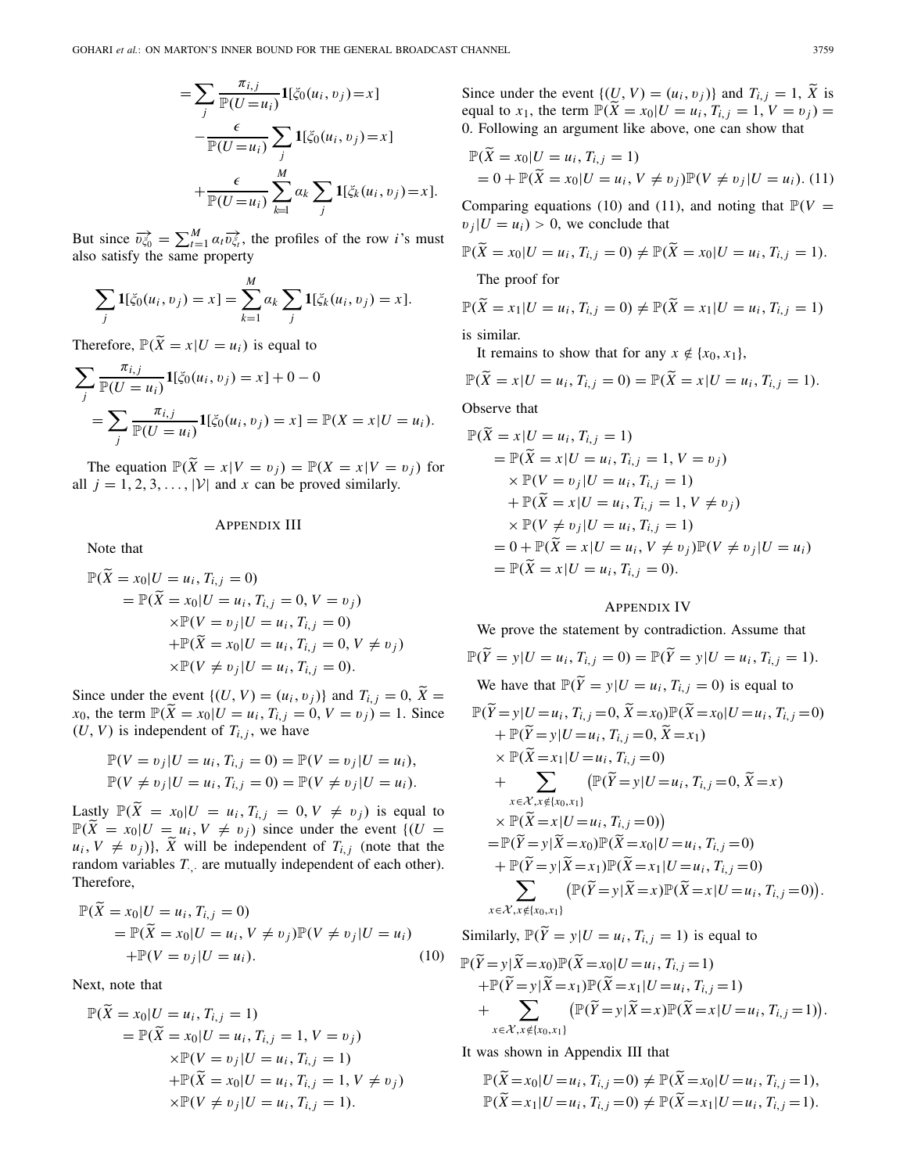$$
= \sum_{j} \frac{\pi_{i,j}}{\mathbb{P}(U=u_i)} \mathbf{1}[\xi_0(u_i, v_j) = x]
$$

$$
- \frac{\epsilon}{\mathbb{P}(U=u_i)} \sum_{j} \mathbf{1}[\xi_0(u_i, v_j) = x]
$$

$$
+ \frac{\epsilon}{\mathbb{P}(U=u_i)} \sum_{k=1}^{M} \alpha_k \sum_{j} \mathbf{1}[\xi_k(u_i, v_j) = x].
$$

But since  $\overrightarrow{v_{\xi_0}} = \sum_{t=1}^{M} \alpha_t \overrightarrow{v_{\xi_t}}$ , the profiles of the row *i*'s must also satisfy the same property

$$
\sum_{j} \mathbf{1}[\xi_0(u_i, v_j) = x] = \sum_{k=1}^{M} a_k \sum_{j} \mathbf{1}[\xi_k(u_i, v_j) = x].
$$

Therefore,  $\mathbb{P}(\tilde{X} = x | U = u_i)$  is equal to

$$
\sum_{j} \frac{\pi_{i,j}}{\mathbb{P}(U = u_i)} \mathbf{1}[\xi_0(u_i, v_j) = x] + 0 - 0
$$
  
= 
$$
\sum_{j} \frac{\pi_{i,j}}{\mathbb{P}(U = u_i)} \mathbf{1}[\xi_0(u_i, v_j) = x] = \mathbb{P}(X = x | U = u_i).
$$

The equation  $\mathbb{P}(\widetilde{X} = x | V = v_i) = \mathbb{P}(X = x | V = v_i)$  for all  $j = 1, 2, 3, \ldots, |\mathcal{V}|$  and  $x$  can be proved similarly.

# APPENDIX III

Note that

$$
\mathbb{P}(\widetilde{X} = x_0 | U = u_i, T_{i,j} = 0) \n= \mathbb{P}(\widetilde{X} = x_0 | U = u_i, T_{i,j} = 0, V = v_j) \n\times \mathbb{P}(V = v_j | U = u_i, T_{i,j} = 0) \n+ \mathbb{P}(\widetilde{X} = x_0 | U = u_i, T_{i,j} = 0, V \neq v_j) \n\times \mathbb{P}(V \neq v_j | U = u_i, T_{i,j} = 0).
$$

Since under the event  $\{(U, V) = (u_i, v_j)\}\$  and  $T_{i,j} = 0$ ,  $\widetilde{X} =$ *x*<sub>0</sub>, the term  $\mathbb{P}(\tilde{X} = x_0 | U = u_i, T_{i,j} = 0, V = v_j) = 1$ . Since  $(U, V)$  is independent of  $T_{i,j}$ , we have

$$
\mathbb{P}(V = v_j | U = u_i, T_{i,j} = 0) = \mathbb{P}(V = v_j | U = u_i), \n\mathbb{P}(V \neq v_j | U = u_i, T_{i,j} = 0) = \mathbb{P}(V \neq v_j | U = u_i).
$$

Lastly  $\mathbb{P}(\widetilde{X} = x_0 | U = u_i, T_{i,j} = 0, V \neq v_j)$  is equal to  $\mathbb{P}(\widetilde{X} = x_0 | U = u_i, V \neq v_j)$  since under the event  $\{(U = X_i) \in \widetilde{X} \mid U \neq v_j\}$  $u_i, V \neq v_j$ },  $\tilde{X}$  will be independent of  $T_{i,j}$  (note that the random variables *T*<sub>,</sub> are mutually independent of each other). Therefore,

$$
\mathbb{P}(\widetilde{X} = x_0 | U = u_i, T_{i,j} = 0)
$$
  
= 
$$
\mathbb{P}(\widetilde{X} = x_0 | U = u_i, V \neq v_j) \mathbb{P}(V \neq v_j | U = u_i)
$$
  
+ 
$$
\mathbb{P}(V = v_j | U = u_i).
$$
 (10)

Next, note that

$$
\mathbb{P}(\widetilde{X} = x_0 | U = u_i, T_{i,j} = 1) \n= \mathbb{P}(\widetilde{X} = x_0 | U = u_i, T_{i,j} = 1, V = v_j) \n\times \mathbb{P}(V = v_j | U = u_i, T_{i,j} = 1) \n+ \mathbb{P}(\widetilde{X} = x_0 | U = u_i, T_{i,j} = 1, V \neq v_j) \n\times \mathbb{P}(V \neq v_j | U = u_i, T_{i,j} = 1).
$$

Since under the event  $\{(\underline{U}, V) = (u_i, v_j)\}\$  and  $T_{i,j} = 1$ ,  $\widetilde{X}$  is equal to  $x_1$ , the term  $\mathbb{P}(\tilde{X} = x_0 | U = u_i, T_{i,j} = 1, V = v_j) =$ 0. Following an argument like above, one can show that

$$
\mathbb{P}(\tilde{X} = x_0 | U = u_i, T_{i,j} = 1) \n= 0 + \mathbb{P}(\tilde{X} = x_0 | U = u_i, V \neq v_j) \mathbb{P}(V \neq v_j | U = u_i).
$$
\n(11)

Comparing equations (10) and (11), and noting that  $\mathbb{P}(V =$  $v_i|U = u_i$  > 0, we conclude that

$$
\mathbb{P}(\widetilde{X} = x_0 | U = u_i, T_{i,j} = 0) \neq \mathbb{P}(\widetilde{X} = x_0 | U = u_i, T_{i,j} = 1).
$$

The proof for

$$
\mathbb{P}(\widetilde{X} = x_1 | U = u_i, T_{i,j} = 0) \neq \mathbb{P}(\widetilde{X} = x_1 | U = u_i, T_{i,j} = 1)
$$

is similar.

It remains to show that for any  $x \notin \{x_0, x_1\}$ ,

$$
\mathbb{P}(\tilde{X} = x | U = u_i, T_{i,j} = 0) = \mathbb{P}(\tilde{X} = x | U = u_i, T_{i,j} = 1).
$$

Observe that

$$
\mathbb{P}(\tilde{X} = x | U = u_i, T_{i,j} = 1) \n= \mathbb{P}(\tilde{X} = x | U = u_i, T_{i,j} = 1, V = v_j) \n\times \mathbb{P}(V = v_j | U = u_i, T_{i,j} = 1) \n+ \mathbb{P}(\tilde{X} = x | U = u_i, T_{i,j} = 1, V \neq v_j) \n\times \mathbb{P}(V \neq v_j | U = u_i, T_{i,j} = 1) \n= 0 + \mathbb{P}(\tilde{X} = x | U = u_i, V \neq v_j) \mathbb{P}(V \neq v_j | U = u_i) \n= \mathbb{P}(\tilde{X} = x | U = u_i, T_{i,j} = 0).
$$

## APPENDIX IV

We prove the statement by contradiction. Assume that

$$
\mathbb{P}(\tilde{Y} = y | U = u_i, T_{i,j} = 0) = \mathbb{P}(\tilde{Y} = y | U = u_i, T_{i,j} = 1).
$$
  
We have that 
$$
\mathbb{P}(\tilde{Y} = y | U = u_i, T_{i,j} = 0) \text{ is equal to}
$$

$$
\mathbb{P}(\tilde{Y} = y | U = u_i, T_{i,j} = 0, \tilde{X} = x_0) \mathbb{P}(\tilde{X} = x_0 | U = u_i, T_{i,j} = 0)
$$

$$
+ \mathbb{P}(\tilde{Y} = y | U = u_i, T_{i,j} = 0, \tilde{X} = x_1)
$$

$$
\times \mathbb{P}(\tilde{X} = x_1 | U = u_i, T_{i,j} = 0)
$$

$$
+ \sum_{x \in \mathcal{X}, x \notin \{x_0, x_1\}} (\mathbb{P}(\tilde{Y} = y | U = u_i, T_{i,j} = 0, \tilde{X} = x)
$$

$$
= \mathbb{P}(\tilde{Y} = x | U = u_i, T_{i,j} = 0)
$$

$$
= \mathbb{P}(\tilde{Y} = y | \tilde{X} = x_0) \mathbb{P}(\tilde{X} = x_0 | U = u_i, T_{i,j} = 0)
$$

$$
+ \mathbb{P}(\tilde{Y} = y | \tilde{X} = x_1) \mathbb{P}(\tilde{X} = x_1 | U = u_i, T_{i,j} = 0)
$$

$$
\sum_{x \in \mathcal{X}, x \notin \{x_0, x_1\}} (\mathbb{P}(\tilde{Y} = y | \tilde{X} = x) \mathbb{P}(\tilde{X} = x | U = u_i, T_{i,j} = 0)).
$$

Similarly,  $\mathbb{P}(\tilde{Y} = y | U = u_i, T_{i,j} = 1)$  is equal to

$$
\mathbb{P}(\widetilde{Y}=y|\widetilde{X}=x_0)\mathbb{P}(\widetilde{X}=x_0|U=u_i, T_{i,j}=1) \n+ \mathbb{P}(\widetilde{Y}=y|\widetilde{X}=x_1)\mathbb{P}(\widetilde{X}=x_1|U=u_i, T_{i,j}=1) \n+ \sum_{x \in \mathcal{X}, x \notin \{x_0, x_1\}} (\mathbb{P}(\widetilde{Y}=y|\widetilde{X}=x)\mathbb{P}(\widetilde{X}=x|U=u_i, T_{i,j}=1)).
$$

It was shown in Appendix III that

$$
\mathbb{P}(\widetilde{X} = x_0 | U = u_i, T_{i,j} = 0) \neq \mathbb{P}(\widetilde{X} = x_0 | U = u_i, T_{i,j} = 1),
$$
  

$$
\mathbb{P}(\widetilde{X} = x_1 | U = u_i, T_{i,j} = 0) \neq \mathbb{P}(\widetilde{X} = x_1 | U = u_i, T_{i,j} = 1).
$$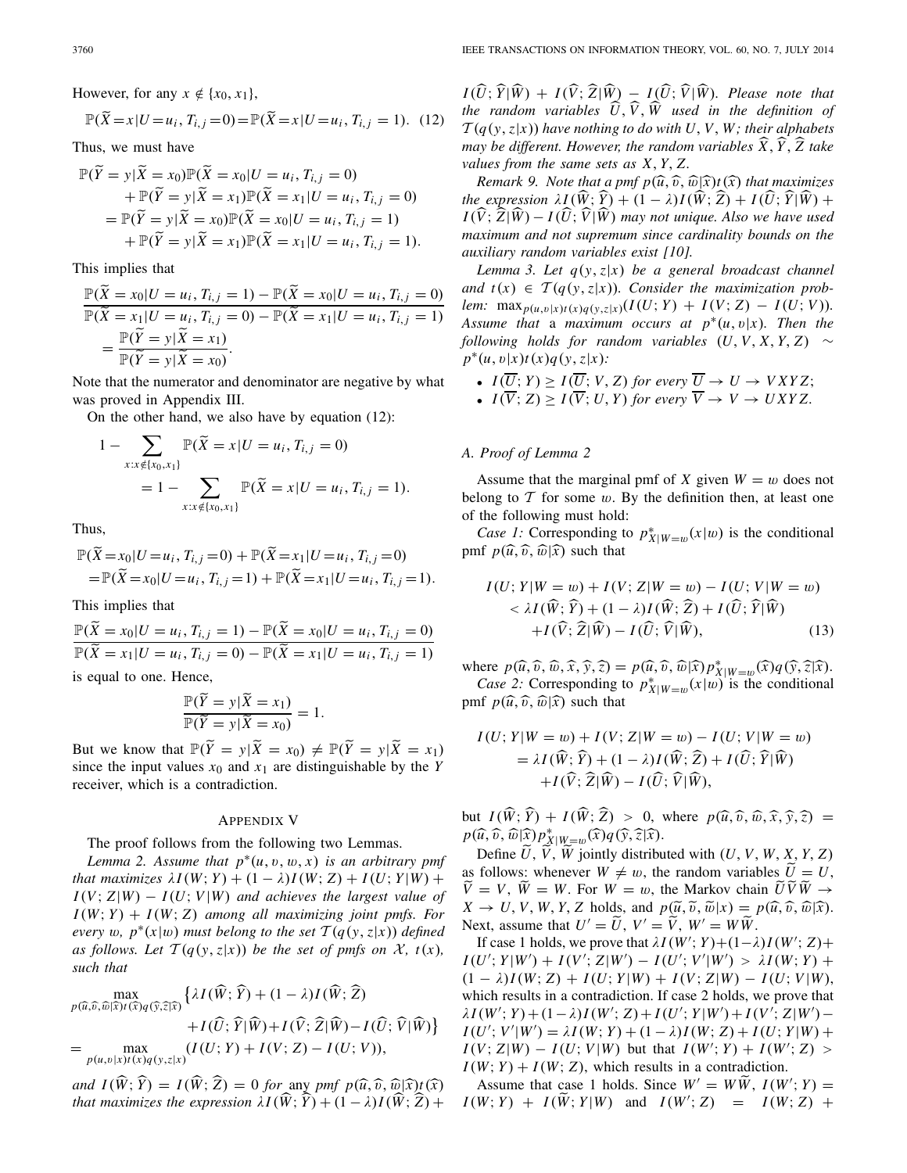However, for any  $x \notin \{x_0, x_1\}$ ,

$$
\mathbb{P}(\widetilde{X} = x | U = u_i, T_{i,j} = 0) = \mathbb{P}(\widetilde{X} = x | U = u_i, T_{i,j} = 1).
$$
 (12)

Thus, we must have

$$
\mathbb{P}(\widetilde{Y} = y | \widetilde{X} = x_0) \mathbb{P}(\widetilde{X} = x_0 | U = u_i, T_{i,j} = 0) \n+ \mathbb{P}(\widetilde{Y} = y | \widetilde{X} = x_1) \mathbb{P}(\widetilde{X} = x_1 | U = u_i, T_{i,j} = 0) \n= \mathbb{P}(\widetilde{Y} = y | \widetilde{X} = x_0) \mathbb{P}(\widetilde{X} = x_0 | U = u_i, T_{i,j} = 1) \n+ \mathbb{P}(\widetilde{Y} = y | \widetilde{X} = x_1) \mathbb{P}(\widetilde{X} = x_1 | U = u_i, T_{i,j} = 1).
$$

This implies that

$$
\frac{\mathbb{P}(\widetilde{X} = x_0 | U = u_i, T_{i,j} = 1) - \mathbb{P}(\widetilde{X} = x_0 | U = u_i, T_{i,j} = 0)}{\mathbb{P}(\widetilde{X} = x_1 | U = u_i, T_{i,j} = 0) - \mathbb{P}(\widetilde{X} = x_1 | U = u_i, T_{i,j} = 1)} = \frac{\mathbb{P}(\widetilde{Y} = y | \widetilde{X} = x_1)}{\mathbb{P}(\widetilde{Y} = y | \widetilde{X} = x_0)}.
$$

Note that the numerator and denominator are negative by what was proved in Appendix III.

On the other hand, we also have by equation (12):

$$
1 - \sum_{x:x \notin \{x_0, x_1\}} \mathbb{P}(\widetilde{X} = x | U = u_i, T_{i,j} = 0)
$$
  
= 
$$
1 - \sum_{x:x \notin \{x_0, x_1\}} \mathbb{P}(\widetilde{X} = x | U = u_i, T_{i,j} = 1).
$$

Thus,

$$
\mathbb{P}(\widetilde{X} = x_0 | U = u_i, T_{i,j} = 0) + \mathbb{P}(\widetilde{X} = x_1 | U = u_i, T_{i,j} = 0)
$$
  
= 
$$
\mathbb{P}(\widetilde{X} = x_0 | U = u_i, T_{i,j} = 1) + \mathbb{P}(\widetilde{X} = x_1 | U = u_i, T_{i,j} = 1).
$$

This implies that

$$
\frac{\mathbb{P}(\widetilde{X} = x_0 | U = u_i, T_{i,j} = 1) - \mathbb{P}(\widetilde{X} = x_0 | U = u_i, T_{i,j} = 0)}{\mathbb{P}(\widetilde{X} = x_1 | U = u_i, T_{i,j} = 0) - \mathbb{P}(\widetilde{X} = x_1 | U = u_i, T_{i,j} = 1)}
$$

is equal to one. Hence,

$$
\frac{\mathbb{P}(\widetilde{Y} = y | \widetilde{X} = x_1)}{\mathbb{P}(\widetilde{Y} = y | \widetilde{X} = x_0)} = 1.
$$

But we know that  $\mathbb{P}(\widetilde{Y} = y | \widetilde{X} = x_0) \neq \mathbb{P}(\widetilde{Y} = y | \widetilde{X} = x_1)$ since the input values  $x_0$  and  $x_1$  are distinguishable by the *Y* receiver, which is a contradiction.

### APPENDIX V

The proof follows from the following two Lemmas.

*Lemma 2. Assume that*  $p^*(u, v, w, x)$  *is an arbitrary pmf that maximizes*  $\lambda I(W; Y) + (1 - \lambda)I(W; Z) + I(U; Y|W) +$  $I(V; Z|W) - I(U; V|W)$  *and achieves the largest value of*  $I(W; Y) + I(W; Z)$  *among all maximizing joint pmfs. For every* w,  $p^*(x|w)$  *must belong to the set*  $T(q(y, z|x))$  *defined as follows. Let*  $\mathcal{T}(q(y, z|x))$  *be the set of pmfs on*  $\mathcal{X}$ *, t(x), such that*

$$
\max_{p(\widehat{u},\widehat{v},\widehat{w}|\widehat{x})t(\widehat{x})q(\widehat{y},\widehat{z}|\widehat{x})} \left\{ \lambda I(\widehat{W};\widehat{Y}) + (1-\lambda)I(\widehat{W};\widehat{Z}) + I(\widehat{U};\widehat{Y}|\widehat{W}) + I(\widehat{V};\widehat{Z}|\widehat{W}) - I(\widehat{U};\widehat{V}|\widehat{W}) \right\}
$$
\n
$$
= \max_{p(u,v|x)t(x)q(y,z|x)} (I(U;Y) + I(V;Z) - I(U;V)),
$$

*and*  $I(\hat{W}; \hat{Y}) = I(\hat{W}; \hat{Z}) = 0$  *for* any *pmf*  $p(\hat{u}, \hat{v}, \hat{w}|\hat{x})t(\hat{x})$ <br>that maximizes the expression  $H(\hat{W}; \hat{Y}) + (1 - \hat{v})I(\hat{W}; \hat{Z}) +$ *that maximizes the expression*  $\lambda I(\hat{W}; \hat{Y}) + (1 - \lambda)I(\hat{W}; \hat{Z}) +$ 

 $I(\hat{U}; \hat{Y} | \hat{W}) + I(\hat{V}; \hat{Z} | \hat{W}) - I(\hat{U}; \hat{V} | \hat{W})$ . Please note that *the random variables*  $\hat{U}$ ,  $\hat{V}$ ,  $\hat{W}$  used in the definition of  $T(q(y, z|x))$  *have nothing to do with U, V, W; their alphabets may be different. However, the random variables <sup>X</sup>*, *<sup>Y</sup>* , *Z take values from the same sets as X*, *Y*, *Z.*

*Remark 9. Note that a pmf*  $p(\widehat{u}, \widehat{v}, \widehat{w} | \widehat{x})$ *t*  $(\widehat{x})$  *that maximizes the expression*  $\lambda I(\hat{W}; \hat{Y}) + (1 - \lambda)I(\hat{W}; \hat{Z}) + I(\hat{U}; \hat{Y}|\hat{W}) +$  $I(\hat{V}; \hat{Z} | \hat{W}) - I(\hat{U}; \hat{V} | \hat{W})$  may not unique. Also we have used *maximum and not supremum since cardinality bounds on the auxiliary random variables exist [10].*

*Lemma 3. Let q*(*y*,*z*|*x*) *be a general broadcast channel and*  $t(x) \in T(q(y, z|x))$ *. Consider the maximization problem:* max<sub>*p*(*u*,*v*)*x*)*t*(*x*)*q*(*y*,*z*|*x*)</sub>(*I*(*U*; *Y*) + *I*(*V*; *Z*) - *I*(*U*; *V*)). *Assume that* a *maximum occurs at*  $p^*(u, v|x)$ *. Then the following holds for random variables*  $(U, V, X, Y, Z) \sim$ *p*∗(*u*, v|*x*)*t*(*x*)*q*(*y*,*z*|*x*)*:*

- $I(\overline{U}; Y) \geq I(\overline{U}; V, Z)$  for every  $\overline{U} \to U \to VXYZ;$
- $I(\overline{V}; Z) \geq I(\overline{V}; U, Y)$  for every  $\overline{V} \to V \to UXYZ$ .

#### *A. Proof of Lemma 2*

Assume that the marginal pmf of *X* given  $W = w$  does not belong to  $T$  for some  $w$ . By the definition then, at least one of the following must hold:

*Case 1:* Corresponding to  $p_{X|W=w}^*(x|w)$  is the conditional pmf  $p(\widehat{u}, \widehat{v}, \widehat{w} | \widehat{x})$  such that

$$
I(U; Y | W = w) + I(V; Z | W = w) - I(U; V | W = w)
$$
  

$$
< \lambda I(\widehat{W}; \widehat{Y}) + (1 - \lambda)I(\widehat{W}; \widehat{Z}) + I(\widehat{U}; \widehat{Y} | \widehat{W})
$$
  

$$
+ I(\widehat{V}; \widehat{Z} | \widehat{W}) - I(\widehat{U}; \widehat{V} | \widehat{W}),
$$
 (13)

where  $p(\widehat{u}, \widehat{v}, \widehat{w}, \widehat{x}, \widehat{y}, \widehat{z}) = p(\widehat{u}, \widehat{v}, \widehat{w}|\widehat{x})p_{X|W=w}^*(\widehat{x})q(\widehat{y}, \widehat{z}|\widehat{x})$ .<br>Case 2: Corresponding to  $n^*$  (*x*|*w*) is the conditional *Case 2:* Corresponding to  $p_{X|W=w}^*(x|w)$  is the conditional pmf  $p(\widehat{u}, \widehat{v}, \widehat{w} | \widehat{x})$  such that

$$
I(U; Y|W = w) + I(V; Z|W = w) - I(U; V|W = w)
$$
  
=  $\lambda I(\widehat{W}; \widehat{Y}) + (1 - \lambda)I(\widehat{W}; \widehat{Z}) + I(\widehat{U}; \widehat{Y}|\widehat{W})$   
+ $I(\widehat{V}; \widehat{Z}|\widehat{W}) - I(\widehat{U}; \widehat{V}|\widehat{W}),$ 

but  $I(\hat{W}; \hat{Y}) + I(\hat{W}; \hat{Z}) > 0$ , where  $p(\hat{u}, \hat{v}, \hat{w}, \hat{x}, \hat{y}, \hat{z}) =$ <br> $p(\hat{u}, \hat{v}, \hat{w}|\hat{x})p^*$  ( $\hat{x}$ ) $q(\hat{x}, \hat{z})\hat{z}$  $p(\widehat{u}, \widehat{v}, \widehat{w}|\widehat{x}) p_{X|W=w}^*(\widehat{x}) q(\widehat{y}, \widehat{z}|\widehat{x}).$ <br>
Define  $\widetilde{u}$ ,  $\widetilde{W}$ ,  $\widetilde{W}$  igintly distribute

Define  $U, V, W$  jointly distributed with  $(U, V, W, X, Y, Z)$ as follows: whenever  $W \neq w$ , the random variables  $\widetilde{U} = U$ ,  $\hat{V} = V$ ,  $\hat{W} = W$ . For  $W = w$ , the Markov chain  $\hat{U} \hat{V} \hat{W} \rightarrow$  $X \to U, V, W, Y, Z$  holds, and  $p(\tilde{u}, \tilde{v}, \tilde{w}|x) = p(\hat{u}, \hat{v}, \hat{w}|\hat{x})$ . Next, assume that  $U' = \widetilde{U}$ ,  $V' = \widetilde{V}$ ,  $W' = W \widetilde{W}$ .

If case 1 holds, we prove that  $\lambda I(W'; Y) + (1 - \lambda)I(W'; Z) +$  $I(U'; Y | W') + I(V'; Z | W') - I(U'; V' | W') > \lambda I(W; Y) +$  $(1 - \lambda)I(W; Z) + I(U; Y|W) + I(V; Z|W) - I(U; V|W),$ which results in a contradiction. If case 2 holds, we prove that  $\lambda I(W'; Y) + (1 - \lambda)I(W'; Z) + I(U'; Y|W') + I(V'; Z|W') I(U'; V'|W') = \lambda I(W; Y) + (1 - \lambda)I(W; Z) + I(U; Y|W) +$ *I*(*V*; *Z*|*W*) − *I*(*U*; *V*|*W*) but that *I*(*W*<sup>'</sup>; *Y*) + *I*(*W*<sup>'</sup>; *Z*) >  $I(W; Y) + I(W; Z)$ , which results in a contradiction.

Assume that case 1 holds. Since  $W' = W\widetilde{W}$ ,  $I(W'; Y) = W'V$ ,  $V' = V(\widetilde{W} \times V)$  $I(W; Y) + I(\widetilde{W}; Y | W)$  and  $I(W'; Z) = I(W; Z) + I(W; Z)$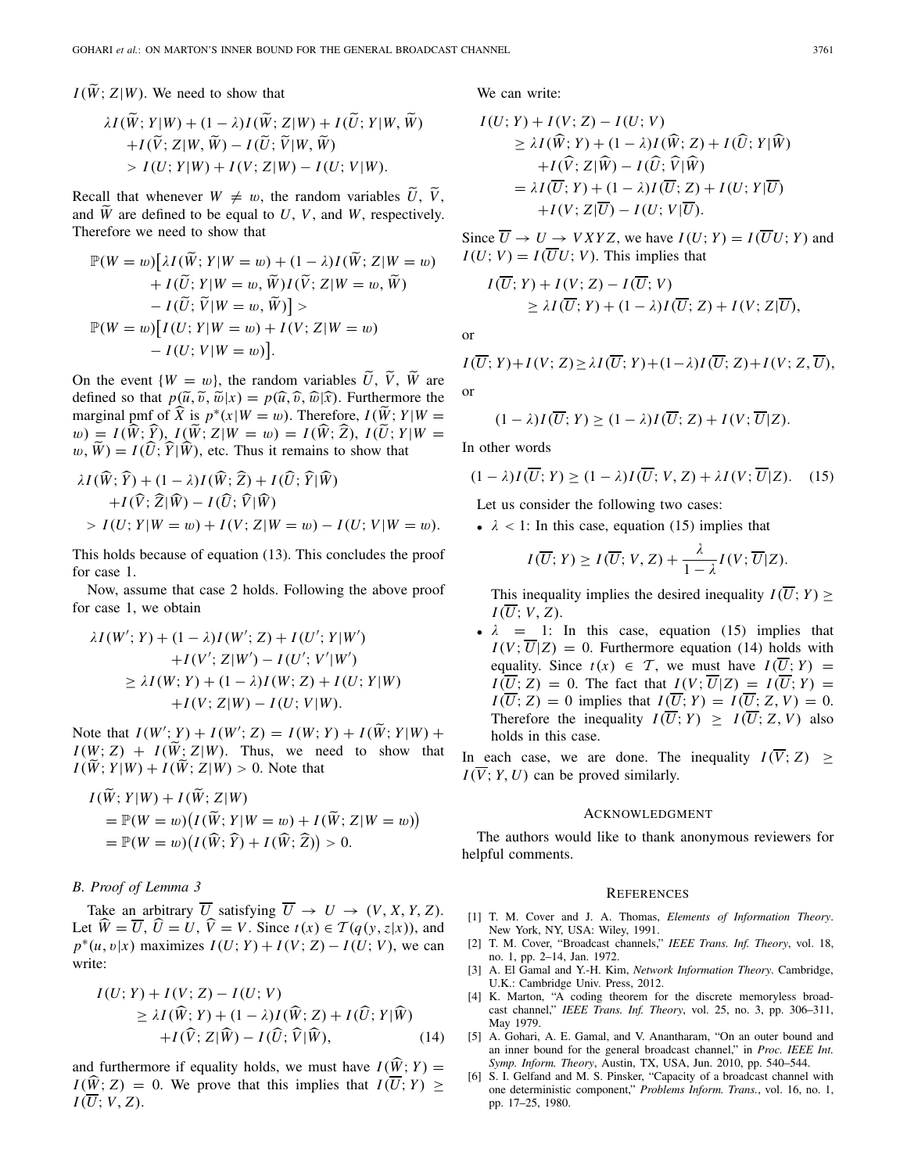$I(\widetilde{W}; Z|W)$ . We need to show that

$$
\lambda I(\widetilde{W}; Y|W) + (1 - \lambda)I(\widetilde{W}; Z|W) + I(\widetilde{U}; Y|W, \widetilde{W}) \n+ I(\widetilde{V}; Z|W, \widetilde{W}) - I(\widetilde{U}; \widetilde{V}|W, \widetilde{W}) \n> I(U; Y|W) + I(V; Z|W) - I(U; V|W).
$$

Recall that whenever  $W \neq w$ , the random variables  $\hat{U}, \hat{V}, \hat{V}$ and  $\widetilde{W}$  are defined to be equal to *U*, *V*, and *W*, respectively. Therefore we need to show that

$$
\mathbb{P}(W = w)[\lambda I(\widetilde{W}; Y|W = w) + (1 - \lambda)I(\widetilde{W}; Z|W = w) \n+ I(\widetilde{U}; Y|W = w, \widetilde{W})I(\widetilde{V}; Z|W = w, \widetilde{W}) \n- I(\widetilde{U}; \widetilde{V}|W = w, \widetilde{W}) > \n\mathbb{P}(W = w)[I(U; Y|W = w) + I(V; Z|W = w) \n- I(U; V|W = w)].
$$

On the event  $\{W = w\}$ , the random variables  $\hat{U}, \hat{V}, \hat{W}$  are defined so that  $p(\tilde{u}, \tilde{v}, \tilde{w}|x) = p(\hat{u}, \hat{v}, \hat{w}|\hat{x})$ . Furthermore the marginal pmf of  $\widehat{X}$  is  $p^*(x|W = w)$ . Therefore,  $I(\widetilde{W}; Y|W = w)$  $w) = I(\hat{W}; \hat{Y}), I(\hat{W}; Z|W = w) = I(\hat{W}; \hat{Z}), I(\hat{U}; Y|W = w)$  $w, \hat{W}$  =  $I(\hat{U}; \hat{Y} | \hat{W})$ , etc. Thus it remains to show that

$$
\lambda I(\widehat{W}; \widehat{Y}) + (1 - \lambda)I(\widehat{W}; \widehat{Z}) + I(\widehat{U}; \widehat{Y} | \widehat{W}) \n+ I(\widehat{V}; \widehat{Z} | \widehat{W}) - I(\widehat{U}; \widehat{V} | \widehat{W}) \n> I(U; Y | W = w) + I(V; Z | W = w) - I(U; V | W = w).
$$

This holds because of equation (13). This concludes the proof for case 1.

Now, assume that case 2 holds. Following the above proof for case 1, we obtain

$$
\lambda I(W'; Y) + (1 - \lambda)I(W'; Z) + I(U'; Y|W') \n+ I(V'; Z|W') - I(U'; V'|W') \n\geq \lambda I(W; Y) + (1 - \lambda)I(W; Z) + I(U; Y|W) \n+ I(V; Z|W) - I(U; V|W).
$$

Note that  $I(W'; Y) + I(W'; Z) = I(W; Y) + I(\tilde{W}; Y|W) +$ <br> $I(W; Z) + I(\tilde{W}; Z|W)$ . The state of the state of the state of the state of the state of the state of the state of the state of the state of the state of the state of the state of t  $I(W; Z) + I(\widetilde{W}; Z|W)$ . Thus, we need to show that  $I(\tilde{W}; Y|W) + I(\tilde{W}; Z|W) > 0$ . Note that

$$
I(\tilde{W}; Y|W) + I(\tilde{W}; Z|W)
$$
  
=  $\mathbb{P}(W = w)(I(\tilde{W}; Y|W = w) + I(\tilde{W}; Z|W = w))$   
=  $\mathbb{P}(W = w)(I(\hat{W}; \hat{Y}) + I(\hat{W}; \hat{Z})) > 0.$ 

## *B. Proof of Lemma 3*

Take an arbitrary  $\overline{U}$  satisfying  $\overline{U} \rightarrow U \rightarrow (V, X, Y, Z)$ . Let  $\hat{W} = \overline{U}$ ,  $\hat{U} = U$ ,  $\hat{V} = V$ . Since  $t(x) \in \mathcal{T}(q(y, z|x))$ , and  $p^*(u, v|x)$  maximizes  $I(U; Y) + I(V; Z) - I(U; V)$ , we can write:

$$
I(U; Y) + I(V; Z) - I(U; V)
$$
  
\n
$$
\geq \lambda I(\widehat{W}; Y) + (1 - \lambda)I(\widehat{W}; Z) + I(\widehat{U}; Y | \widehat{W})
$$
  
\n
$$
+ I(\widehat{V}; Z | \widehat{W}) - I(\widehat{U}; \widehat{V} | \widehat{W}),
$$
\n(14)

and furthermore if equality holds, we must have  $I(\widehat{W}; Y) =$  $I(\widehat{W}; Z) = 0$ . We prove that this implies that  $I(\overline{U}; Y) \geq$  $I(\overline{U}; V, Z)$ .

We can write:

$$
I(U; Y) + I(V; Z) - I(U; V)
$$
  
\n
$$
\geq \lambda I(\widehat{W}; Y) + (1 - \lambda)I(\widehat{W}; Z) + I(\widehat{U}; Y | \widehat{W})
$$
  
\n
$$
+ I(\widehat{V}; Z | \widehat{W}) - I(\widehat{U}; \widehat{V} | \widehat{W})
$$
  
\n
$$
= \lambda I(\overline{U}; Y) + (1 - \lambda)I(\overline{U}; Z) + I(U; Y | \overline{U})
$$
  
\n
$$
+ I(V; Z | \overline{U}) - I(U; V | \overline{U}).
$$

Since  $\overline{U} \rightarrow U \rightarrow VXYZ$ , we have  $I(U; Y) = I(\overline{U}U; Y)$  and  $I(U; V) = I(\overline{U}U; V)$ . This implies that

$$
I(\overline{U}; Y) + I(V; Z) - I(\overline{U}; V)
$$
  
\n
$$
\geq \lambda I(\overline{U}; Y) + (1 - \lambda)I(\overline{U}; Z) + I(V; Z|\overline{U}),
$$

or

$$
I(\overline{U}; Y) + I(V; Z) \ge \lambda I(\overline{U}; Y) + (1 - \lambda)I(\overline{U}; Z) + I(V; Z, \overline{U}),
$$
  
or

$$
(1 - \lambda)I(\overline{U}; Y) \ge (1 - \lambda)I(\overline{U}; Z) + I(V; \overline{U}|Z).
$$

In other words

$$
(1 - \lambda)I(\overline{U}; Y) \ge (1 - \lambda)I(\overline{U}; V, Z) + \lambda I(V; \overline{U}|Z). \quad (15)
$$

Let us consider the following two cases:

•  $\lambda$  < 1: In this case, equation (15) implies that

$$
I(\overline{U};Y) \geq I(\overline{U};V,Z) + \frac{\lambda}{1-\lambda}I(V;\overline{U}|Z).
$$

This inequality implies the desired inequality  $I(\overline{U}; Y) \geq$  $I(\overline{U}; V, Z)$ .

•  $\lambda$  = 1: In this case, equation (15) implies that  $I(V; \overline{U}|Z) = 0$ . Furthermore equation (14) holds with equality. Since  $t(x) \in \mathcal{T}$ , we must have  $I(\overline{U}; Y) =$  $I(\overline{U}; Z) = 0$ . The fact that  $I(V; \overline{U} | Z) = I(\overline{U}; Y) =$  $I(\overline{U}; Z) = 0$  implies that  $I(\overline{U}; Y) = I(\overline{U}; Z, V) = 0$ . Therefore the inequality  $I(\overline{U}; Y) > I(\overline{U}; Z, V)$  also holds in this case.

In each case, we are done. The inequality  $I(\overline{V}; Z) \geq$  $I(\overline{V}; Y, U)$  can be proved similarly.

#### ACKNOWLEDGMENT

The authors would like to thank anonymous reviewers for helpful comments.

#### **REFERENCES**

- [1] T. M. Cover and J. A. Thomas, *Elements of Information Theory*. New York, NY, USA: Wiley, 1991.
- [2] T. M. Cover, "Broadcast channels," *IEEE Trans. Inf. Theory*, vol. 18, no. 1, pp. 2–14, Jan. 1972.
- [3] A. El Gamal and Y.-H. Kim, *Network Information Theory*. Cambridge, U.K.: Cambridge Univ. Press, 2012.
- [4] K. Marton, "A coding theorem for the discrete memoryless broadcast channel," *IEEE Trans. Inf. Theory*, vol. 25, no. 3, pp. 306–311, May 1979.
- [5] A. Gohari, A. E. Gamal, and V. Anantharam, "On an outer bound and an inner bound for the general broadcast channel," in *Proc. IEEE Int. Symp. Inform. Theory*, Austin, TX, USA, Jun. 2010, pp. 540–544.
- [6] S. I. Gelfand and M. S. Pinsker, "Capacity of a broadcast channel with one deterministic component," *Problems Inform. Trans.*, vol. 16, no. 1, pp. 17–25, 1980.